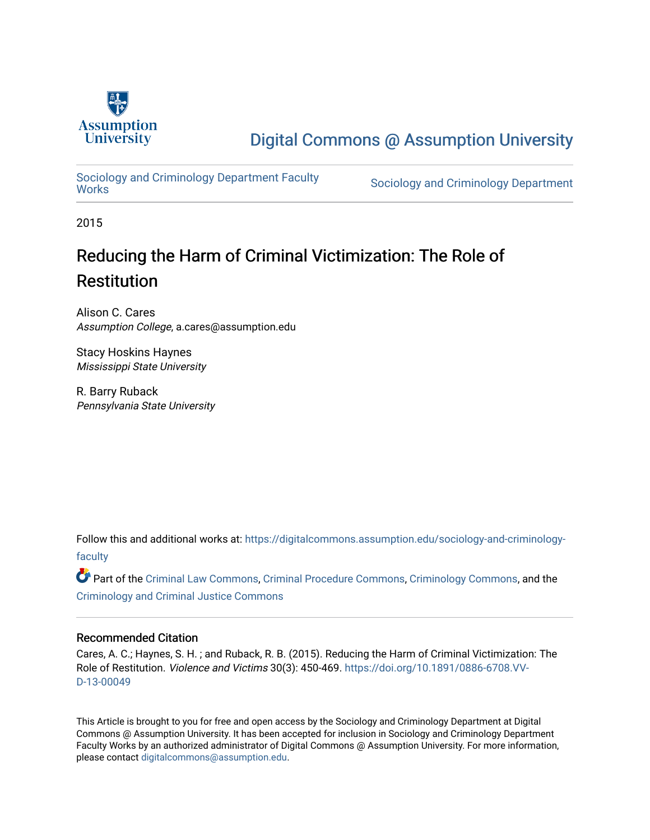

## [Digital Commons @ Assumption University](https://digitalcommons.assumption.edu/)

Sociology and Criminology Department Faculty<br>Works

Sociology and Criminology Department

2015

# Reducing the Harm of Criminal Victimization: The Role of Restitution

Alison C. Cares Assumption College, a.cares@assumption.edu

Stacy Hoskins Haynes Mississippi State University

R. Barry Ruback Pennsylvania State University

Follow this and additional works at: [https://digitalcommons.assumption.edu/sociology-and-criminology](https://digitalcommons.assumption.edu/sociology-and-criminology-faculty?utm_source=digitalcommons.assumption.edu%2Fsociology-and-criminology-faculty%2F5&utm_medium=PDF&utm_campaign=PDFCoverPages)[faculty](https://digitalcommons.assumption.edu/sociology-and-criminology-faculty?utm_source=digitalcommons.assumption.edu%2Fsociology-and-criminology-faculty%2F5&utm_medium=PDF&utm_campaign=PDFCoverPages)

Part of the [Criminal Law Commons,](http://network.bepress.com/hgg/discipline/912?utm_source=digitalcommons.assumption.edu%2Fsociology-and-criminology-faculty%2F5&utm_medium=PDF&utm_campaign=PDFCoverPages) [Criminal Procedure Commons,](http://network.bepress.com/hgg/discipline/1073?utm_source=digitalcommons.assumption.edu%2Fsociology-and-criminology-faculty%2F5&utm_medium=PDF&utm_campaign=PDFCoverPages) [Criminology Commons,](http://network.bepress.com/hgg/discipline/417?utm_source=digitalcommons.assumption.edu%2Fsociology-and-criminology-faculty%2F5&utm_medium=PDF&utm_campaign=PDFCoverPages) and the [Criminology and Criminal Justice Commons](http://network.bepress.com/hgg/discipline/367?utm_source=digitalcommons.assumption.edu%2Fsociology-and-criminology-faculty%2F5&utm_medium=PDF&utm_campaign=PDFCoverPages)

## Recommended Citation

Cares, A. C.; Haynes, S. H. ; and Ruback, R. B. (2015). Reducing the Harm of Criminal Victimization: The Role of Restitution. Violence and Victims 30(3): 450-469. [https://doi.org/10.1891/0886-6708.VV-](https://doi.org/10.1891/0886-6708.VV-D-13-00049)[D-13-00049](https://doi.org/10.1891/0886-6708.VV-D-13-00049)

This Article is brought to you for free and open access by the Sociology and Criminology Department at Digital Commons @ Assumption University. It has been accepted for inclusion in Sociology and Criminology Department Faculty Works by an authorized administrator of Digital Commons @ Assumption University. For more information, please contact [digitalcommons@assumption.edu](mailto:digitalcommons@assumption.edu).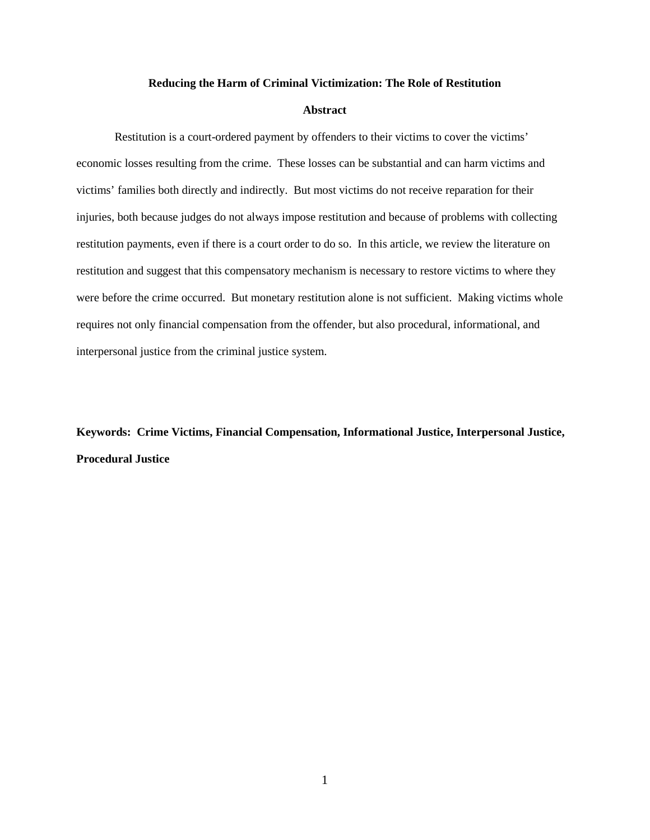#### **Reducing the Harm of Criminal Victimization: The Role of Restitution**

#### **Abstract**

Restitution is a court-ordered payment by offenders to their victims to cover the victims' economic losses resulting from the crime. These losses can be substantial and can harm victims and victims' families both directly and indirectly. But most victims do not receive reparation for their injuries, both because judges do not always impose restitution and because of problems with collecting restitution payments, even if there is a court order to do so. In this article, we review the literature on restitution and suggest that this compensatory mechanism is necessary to restore victims to where they were before the crime occurred. But monetary restitution alone is not sufficient. Making victims whole requires not only financial compensation from the offender, but also procedural, informational, and interpersonal justice from the criminal justice system.

**Keywords: Crime Victims, Financial Compensation, Informational Justice, Interpersonal Justice, Procedural Justice**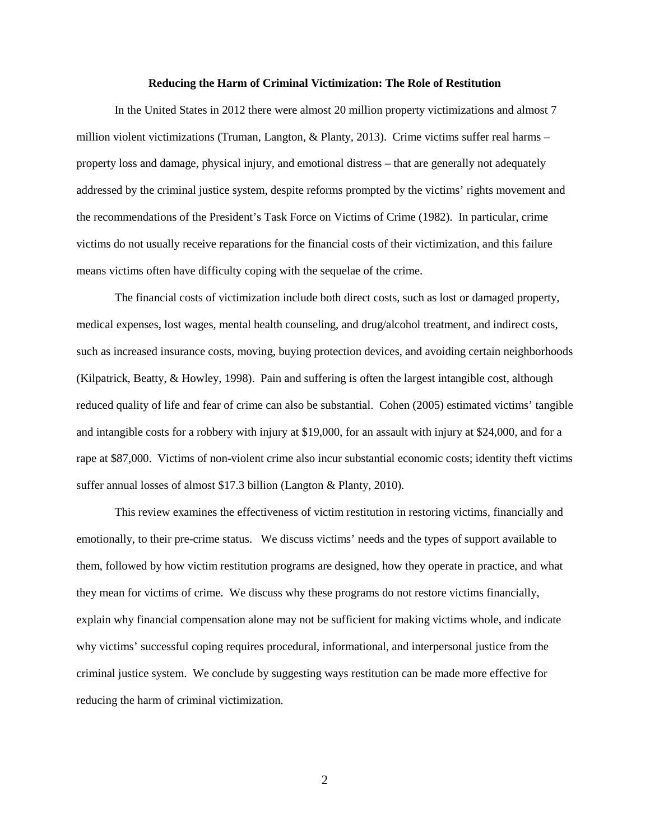#### **Reducing the Harm of Criminal Victimization: The Role of Restitution**

In the United States in 2012 there were almost 20 million property victimizations and almost 7 million violent victimizations [\(Truman, Langton, & Planty, 2013\)](#page-27-0). Crime victims suffer real harms – property loss and damage, physical injury, and emotional distress – that are generally not adequately addressed by the criminal justice system, despite reforms prompted by the victims' rights movement and the recommendations of the President's Task Force on Victims of Crime [\(1982\)](#page-25-0). In particular, crime victims do not usually receive reparations for the financial costs of their victimization, and this failure means victims often have difficulty coping with the sequelae of the crime.

The financial costs of victimization include both direct costs, such as lost or damaged property, medical expenses, lost wages, mental health counseling, and drug/alcohol treatment, and indirect costs, such as increased insurance costs, moving, buying protection devices, and avoiding certain neighborhoods [\(Kilpatrick, Beatty, & Howley, 1998\)](#page-24-0). Pain and suffering is often the largest intangible cost, although reduced quality of life and fear of crime can also be substantial. Cohen [\(2005\)](#page-23-0) estimated victims' tangible and intangible costs for a robbery with injury at \$19,000, for an assault with injury at \$24,000, and for a rape at \$87,000. Victims of non-violent crime also incur substantial economic costs; identity theft victims suffer annual losses of almost \$17.3 billion [\(Langton & Planty, 2010\)](#page-24-1).

This review examines the effectiveness of victim restitution in restoring victims, financially and emotionally, to their pre-crime status. We discuss victims' needs and the types of support available to them, followed by how victim restitution programs are designed, how they operate in practice, and what they mean for victims of crime. We discuss why these programs do not restore victims financially, explain why financial compensation alone may not be sufficient for making victims whole, and indicate why victims' successful coping requires procedural, informational, and interpersonal justice from the criminal justice system. We conclude by suggesting ways restitution can be made more effective for reducing the harm of criminal victimization.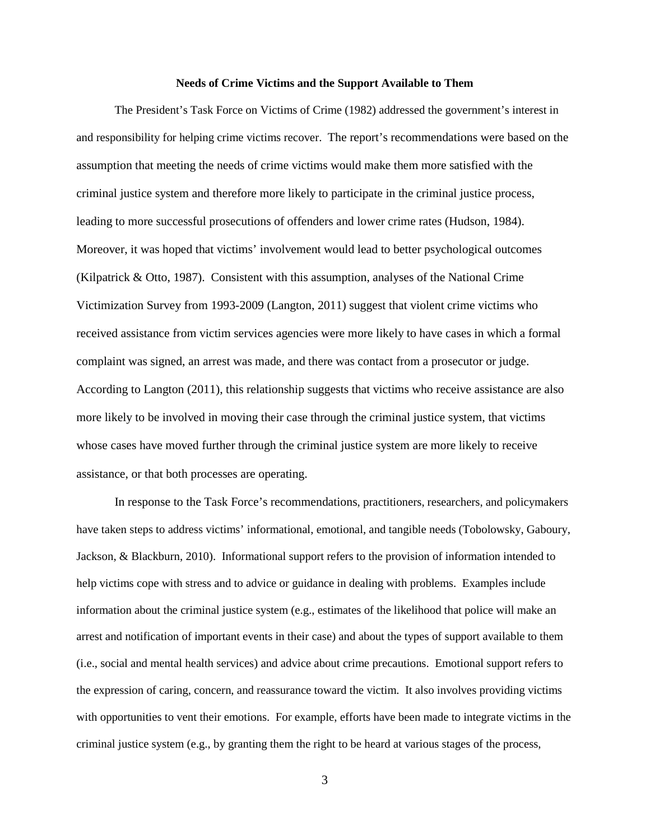#### **Needs of Crime Victims and the Support Available to Them**

The President's Task Force on Victims of Crime [\(1982\)](#page-25-0) addressed the government's interest in and responsibility for helping crime victims recover. The report's recommendations were based on the assumption that meeting the needs of crime victims would make them more satisfied with the criminal justice system and therefore more likely to participate in the criminal justice process, leading to more successful prosecutions of offenders and lower crime rates [\(Hudson, 1984\)](#page-24-2). Moreover, it was hoped that victims' involvement would lead to better psychological outcomes [\(Kilpatrick & Otto, 1987\)](#page-24-3). Consistent with this assumption, analyses of the National Crime Victimization Survey from 1993-2009 [\(Langton, 2011\)](#page-24-4) suggest that violent crime victims who received assistance from victim services agencies were more likely to have cases in which a formal complaint was signed, an arrest was made, and there was contact from a prosecutor or judge. According to Langton [\(2011\)](#page-24-4), this relationship suggests that victims who receive assistance are also more likely to be involved in moving their case through the criminal justice system, that victims whose cases have moved further through the criminal justice system are more likely to receive assistance, or that both processes are operating.

In response to the Task Force's recommendations, practitioners, researchers, and policymakers have taken steps to address victims' informational, emotional, and tangible needs [\(Tobolowsky, Gaboury,](#page-27-1)  Jackson, & [Blackburn, 2010\)](#page-27-1). Informational support refers to the provision of information intended to help victims cope with stress and to advice or guidance in dealing with problems. Examples include information about the criminal justice system (e.g., estimates of the likelihood that police will make an arrest and notification of important events in their case) and about the types of support available to them (i.e., social and mental health services) and advice about crime precautions. Emotional support refers to the expression of caring, concern, and reassurance toward the victim. It also involves providing victims with opportunities to vent their emotions. For example, efforts have been made to integrate victims in the criminal justice system (e.g., by granting them the right to be heard at various stages of the process,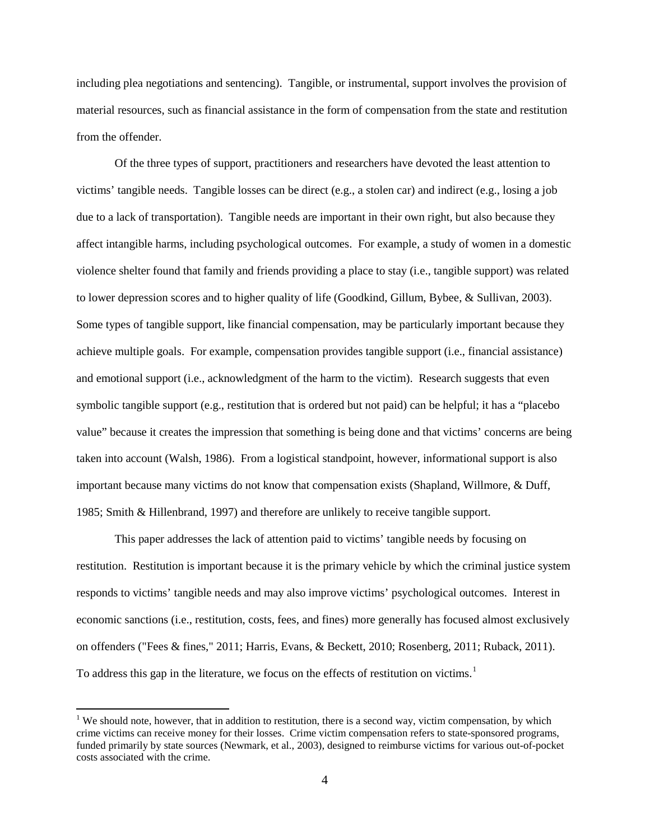including plea negotiations and sentencing). Tangible, or instrumental, support involves the provision of material resources, such as financial assistance in the form of compensation from the state and restitution from the offender.

Of the three types of support, practitioners and researchers have devoted the least attention to victims' tangible needs. Tangible losses can be direct (e.g., a stolen car) and indirect (e.g., losing a job due to a lack of transportation). Tangible needs are important in their own right, but also because they affect intangible harms, including psychological outcomes. For example, a study of women in a domestic violence shelter found that family and friends providing a place to stay (i.e., tangible support) was related to lower depression scores and to higher quality of life [\(Goodkind, Gillum, Bybee, & Sullivan, 2003\)](#page-23-1). Some types of tangible support, like financial compensation, may be particularly important because they achieve multiple goals. For example, compensation provides tangible support (i.e., financial assistance) and emotional support (i.e., acknowledgment of the harm to the victim). Research suggests that even symbolic tangible support (e.g., restitution that is ordered but not paid) can be helpful; it has a "placebo value" because it creates the impression that something is being done and that victims' concerns are being taken into account [\(Walsh, 1986\)](#page-28-0). From a logistical standpoint, however, informational support is also important because many victims do not know that compensation exists [\(Shapland, Willmore, & Duff,](#page-27-2)  [1985;](#page-27-2) [Smith & Hillenbrand, 1997\)](#page-27-3) and therefore are unlikely to receive tangible support.

This paper addresses the lack of attention paid to victims' tangible needs by focusing on restitution. Restitution is important because it is the primary vehicle by which the criminal justice system responds to victims' tangible needs and may also improve victims' psychological outcomes. Interest in economic sanctions (i.e., restitution, costs, fees, and fines) more generally has focused almost exclusively on offenders [\("Fees & fines," 2011;](#page-23-2) [Harris, Evans, & Beckett, 2010;](#page-23-3) [Rosenberg, 2011;](#page-25-1) [Ruback, 2011\)](#page-25-2). To address this gap in the literature, we focus on the effects of restitution on victims.<sup>[1](#page-4-0)</sup>

<span id="page-4-0"></span><sup>&</sup>lt;sup>1</sup> We should note, however, that in addition to restitution, there is a second way, victim compensation, by which crime victims can receive money for their losses. Crime victim compensation refers to state-sponsored programs, funded primarily by state sources (Newmark, et al., 2003), designed to reimburse victims for various out-of-pocket costs associated with the crime.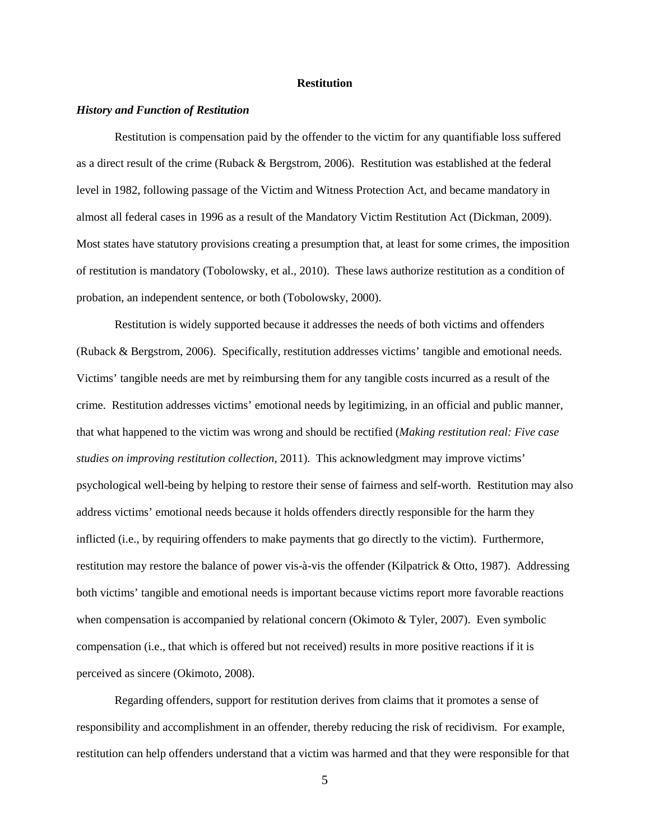#### **Restitution**

#### *History and Function of Restitution*

Restitution is compensation paid by the offender to the victim for any quantifiable loss suffered as a direct result of the crime [\(Ruback & Bergstrom, 2006\)](#page-26-0). Restitution was established at the federal level in 1982, following passage of the Victim and Witness Protection Act, and became mandatory in almost all federal cases in 1996 as a result of the Mandatory Victim Restitution Act [\(Dickman, 2009\)](#page-23-4). Most states have statutory provisions creating a presumption that, at least for some crimes, the imposition of restitution is mandatory [\(Tobolowsky, et al., 2010\)](#page-27-1). These laws authorize restitution as a condition of probation, an independent sentence, or both [\(Tobolowsky, 2000\)](#page-27-4).

Restitution is widely supported because it addresses the needs of both victims and offenders [\(Ruback & Bergstrom, 2006\)](#page-26-0). Specifically, restitution addresses victims' tangible and emotional needs. Victims' tangible needs are met by reimbursing them for any tangible costs incurred as a result of the crime. Restitution addresses victims' emotional needs by legitimizing, in an official and public manner, that what happened to the victim was wrong and should be rectified (*[Making restitution real: Five case](#page-24-5)  [studies on improving restitution collection](#page-24-5)*, 2011). This acknowledgment may improve victims' psychological well-being by helping to restore their sense of fairness and self-worth. Restitution may also address victims' emotional needs because it holds offenders directly responsible for the harm they inflicted (i.e., by requiring offenders to make payments that go directly to the victim). Furthermore, restitution may restore the balance of power vis-à-vis the offender [\(Kilpatrick & Otto, 1987\)](#page-24-3). Addressing both victims' tangible and emotional needs is important because victims report more favorable reactions when compensation is accompanied by relational concern (Okimoto  $&$  Tyler, 2007). Even symbolic compensation (i.e., that which is offered but not received) results in more positive reactions if it is perceived as sincere [\(Okimoto, 2008\)](#page-25-4).

Regarding offenders, support for restitution derives from claims that it promotes a sense of responsibility and accomplishment in an offender, thereby reducing the risk of recidivism. For example, restitution can help offenders understand that a victim was harmed and that they were responsible for that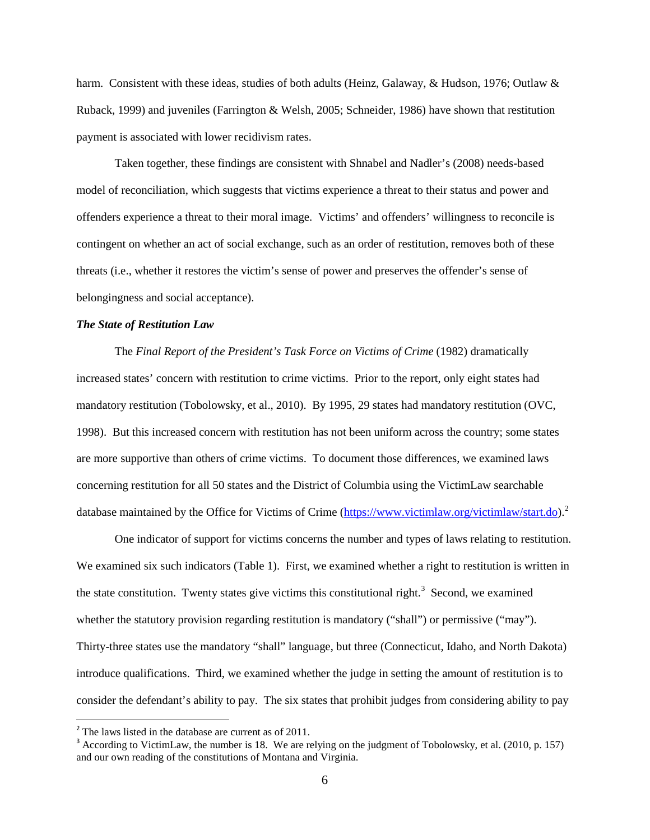harm. Consistent with these ideas, studies of both adults [\(Heinz, Galaway, & Hudson, 1976;](#page-24-6) Outlaw & [Ruback, 1999\)](#page-25-5) and juveniles [\(Farrington &](#page-23-5) Welsh, 2005; [Schneider, 1986\)](#page-26-1) have shown that restitution payment is associated with lower recidivism rates.

Taken together, these findings are consistent with Shnabel and Nadler's [\(2008\)](#page-27-5) needs-based model of reconciliation, which suggests that victims experience a threat to their status and power and offenders experience a threat to their moral image. Victims' and offenders' willingness to reconcile is contingent on whether an act of social exchange, such as an order of restitution, removes both of these threats (i.e., whether it restores the victim's sense of power and preserves the offender's sense of belongingness and social acceptance).

### *The State of Restitution Law*

The *Final Report of the President's Task Force on Victims of Crime* [\(1982\)](#page-25-0) dramatically increased states' concern with restitution to crime victims. Prior to the report, only eight states had mandatory restitution [\(Tobolowsky, et al., 2010\)](#page-27-1). By 1995, 29 states had mandatory restitution [\(OVC,](#page-25-6)  [1998\)](#page-25-6). But this increased concern with restitution has not been uniform across the country; some states are more supportive than others of crime victims. To document those differences, we examined laws concerning restitution for all 50 states and the District of Columbia using the VictimLaw searchable database maintained by the Office for Victims of Crime [\(https://www.victimlaw.org/victimlaw/start.do\)](https://www.victimlaw.org/victimlaw/start.do).<sup>[2](#page-6-0)</sup>

One indicator of support for victims concerns the number and types of laws relating to restitution. We examined six such indicators (Table 1). First, we examined whether a right to restitution is written in the state constitution. Twenty states give victims this constitutional right.<sup>[3](#page-6-1)</sup> Second, we examined whether the statutory provision regarding restitution is mandatory ("shall") or permissive ("may"). Thirty-three states use the mandatory "shall" language, but three (Connecticut, Idaho, and North Dakota) introduce qualifications. Third, we examined whether the judge in setting the amount of restitution is to consider the defendant's ability to pay. The six states that prohibit judges from considering ability to pay

<span id="page-6-1"></span><span id="page-6-0"></span><sup>&</sup>lt;sup>2</sup> The laws listed in the database are current as of 2011.<br><sup>3</sup> According to VictimLaw, the number is 18. We are relying on the judgment of Tobolowsky, et al. (2010, p. 157) and our own reading of the constitutions of Montana and Virginia.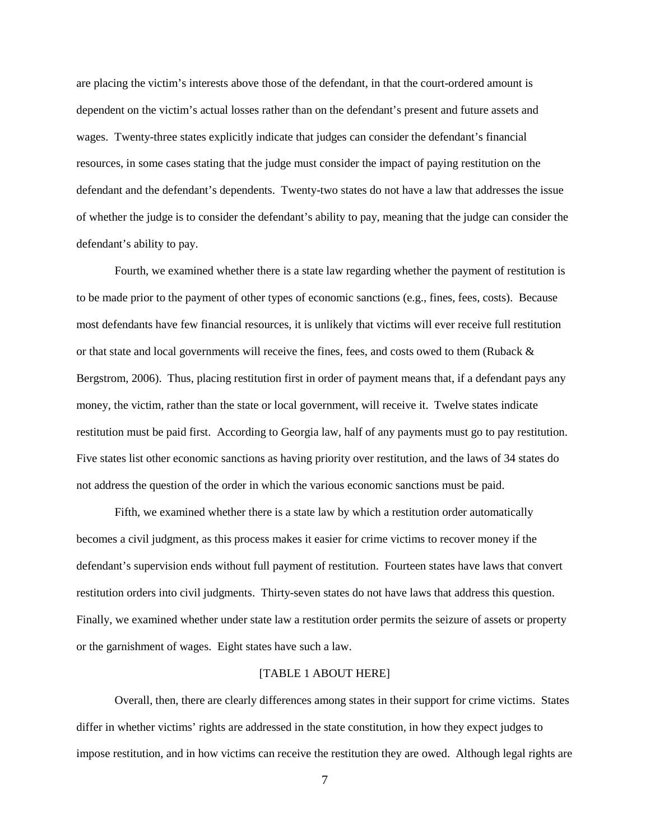are placing the victim's interests above those of the defendant, in that the court-ordered amount is dependent on the victim's actual losses rather than on the defendant's present and future assets and wages. Twenty-three states explicitly indicate that judges can consider the defendant's financial resources, in some cases stating that the judge must consider the impact of paying restitution on the defendant and the defendant's dependents. Twenty-two states do not have a law that addresses the issue of whether the judge is to consider the defendant's ability to pay, meaning that the judge can consider the defendant's ability to pay.

Fourth, we examined whether there is a state law regarding whether the payment of restitution is to be made prior to the payment of other types of economic sanctions (e.g., fines, fees, costs). Because most defendants have few financial resources, it is unlikely that victims will ever receive full restitution or that state and local governments will receive the fines, fees, and costs owed to them [\(Ruback &](#page-26-0)  [Bergstrom, 2006\)](#page-26-0). Thus, placing restitution first in order of payment means that, if a defendant pays any money, the victim, rather than the state or local government, will receive it. Twelve states indicate restitution must be paid first. According to Georgia law, half of any payments must go to pay restitution. Five states list other economic sanctions as having priority over restitution, and the laws of 34 states do not address the question of the order in which the various economic sanctions must be paid.

Fifth, we examined whether there is a state law by which a restitution order automatically becomes a civil judgment, as this process makes it easier for crime victims to recover money if the defendant's supervision ends without full payment of restitution. Fourteen states have laws that convert restitution orders into civil judgments. Thirty-seven states do not have laws that address this question. Finally, we examined whether under state law a restitution order permits the seizure of assets or property or the garnishment of wages. Eight states have such a law.

#### [TABLE 1 ABOUT HERE]

Overall, then, there are clearly differences among states in their support for crime victims. States differ in whether victims' rights are addressed in the state constitution, in how they expect judges to impose restitution, and in how victims can receive the restitution they are owed. Although legal rights are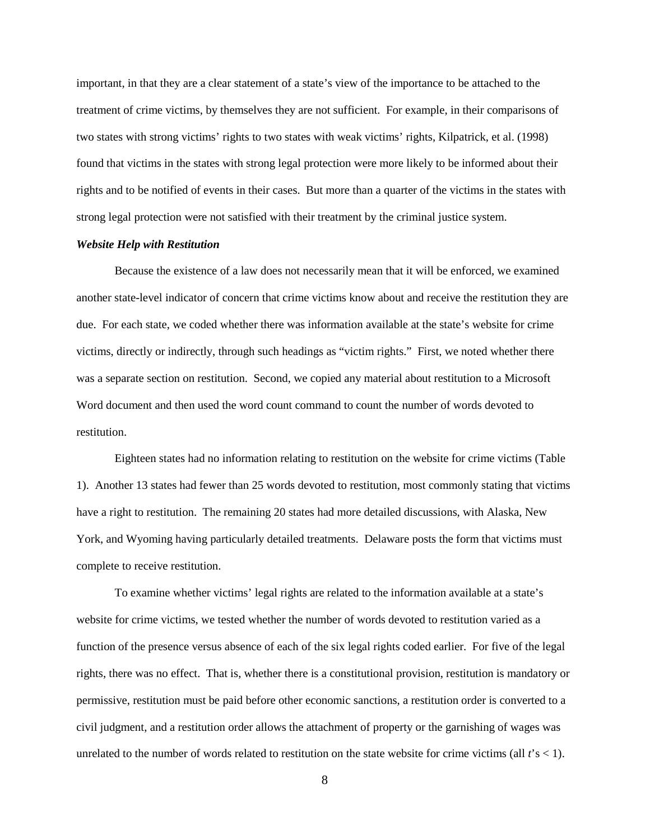important, in that they are a clear statement of a state's view of the importance to be attached to the treatment of crime victims, by themselves they are not sufficient. For example, in their comparisons of two states with strong victims' rights to two states with weak victims' rights, Kilpatrick, et al. [\(1998\)](#page-24-0) found that victims in the states with strong legal protection were more likely to be informed about their rights and to be notified of events in their cases. But more than a quarter of the victims in the states with strong legal protection were not satisfied with their treatment by the criminal justice system.

## *Website Help with Restitution*

Because the existence of a law does not necessarily mean that it will be enforced, we examined another state-level indicator of concern that crime victims know about and receive the restitution they are due. For each state, we coded whether there was information available at the state's website for crime victims, directly or indirectly, through such headings as "victim rights." First, we noted whether there was a separate section on restitution. Second, we copied any material about restitution to a Microsoft Word document and then used the word count command to count the number of words devoted to restitution.

Eighteen states had no information relating to restitution on the website for crime victims (Table 1). Another 13 states had fewer than 25 words devoted to restitution, most commonly stating that victims have a right to restitution. The remaining 20 states had more detailed discussions, with Alaska, New York, and Wyoming having particularly detailed treatments. Delaware posts the form that victims must complete to receive restitution.

To examine whether victims' legal rights are related to the information available at a state's website for crime victims, we tested whether the number of words devoted to restitution varied as a function of the presence versus absence of each of the six legal rights coded earlier. For five of the legal rights, there was no effect. That is, whether there is a constitutional provision, restitution is mandatory or permissive, restitution must be paid before other economic sanctions, a restitution order is converted to a civil judgment, and a restitution order allows the attachment of property or the garnishing of wages was unrelated to the number of words related to restitution on the state website for crime victims (all *t*'s < 1).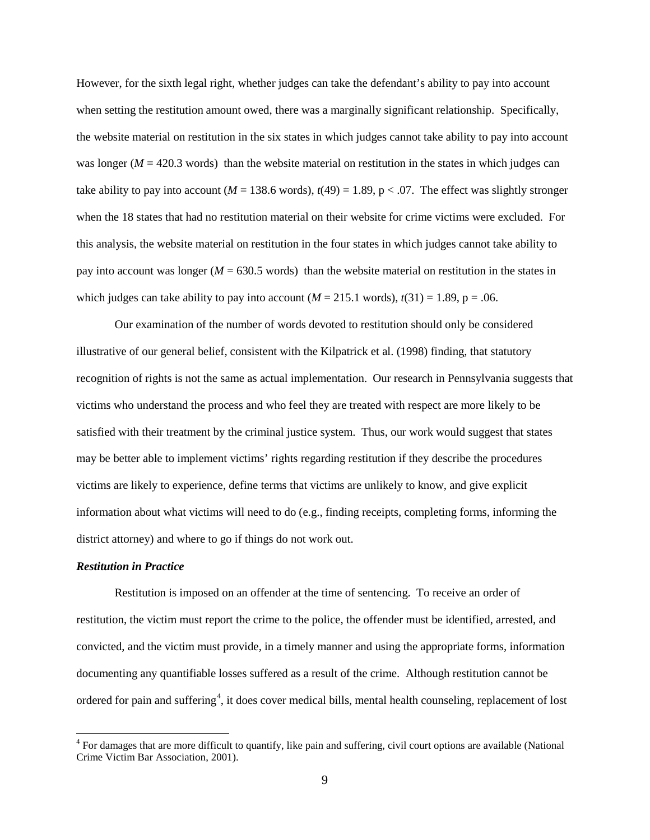However, for the sixth legal right, whether judges can take the defendant's ability to pay into account when setting the restitution amount owed, there was a marginally significant relationship. Specifically, the website material on restitution in the six states in which judges cannot take ability to pay into account was longer ( $M = 420.3$  words) than the website material on restitution in the states in which judges can take ability to pay into account ( $M = 138.6$  words),  $t(49) = 1.89$ ,  $p < .07$ . The effect was slightly stronger when the 18 states that had no restitution material on their website for crime victims were excluded. For this analysis, the website material on restitution in the four states in which judges cannot take ability to pay into account was longer ( $M = 630.5$  words) than the website material on restitution in the states in which judges can take ability to pay into account  $(M = 215.1 \text{ words})$ ,  $t(31) = 1.89$ ,  $p = .06$ .

Our examination of the number of words devoted to restitution should only be considered illustrative of our general belief, consistent with the Kilpatrick et al. (1998) finding, that statutory recognition of rights is not the same as actual implementation. Our research in Pennsylvania suggests that victims who understand the process and who feel they are treated with respect are more likely to be satisfied with their treatment by the criminal justice system. Thus, our work would suggest that states may be better able to implement victims' rights regarding restitution if they describe the procedures victims are likely to experience, define terms that victims are unlikely to know, and give explicit information about what victims will need to do (e.g., finding receipts, completing forms, informing the district attorney) and where to go if things do not work out.

## *Restitution in Practice*

Restitution is imposed on an offender at the time of sentencing. To receive an order of restitution, the victim must report the crime to the police, the offender must be identified, arrested, and convicted, and the victim must provide, in a timely manner and using the appropriate forms, information documenting any quantifiable losses suffered as a result of the crime. Although restitution cannot be ordered for pain and suffering<sup>[4](#page-9-0)</sup>, it does cover medical bills, mental health counseling, replacement of lost

<span id="page-9-0"></span><sup>&</sup>lt;sup>4</sup> For damages that are more difficult to quantify, like pain and suffering, civil court options are available (National Crime Victim Bar Association, 2001).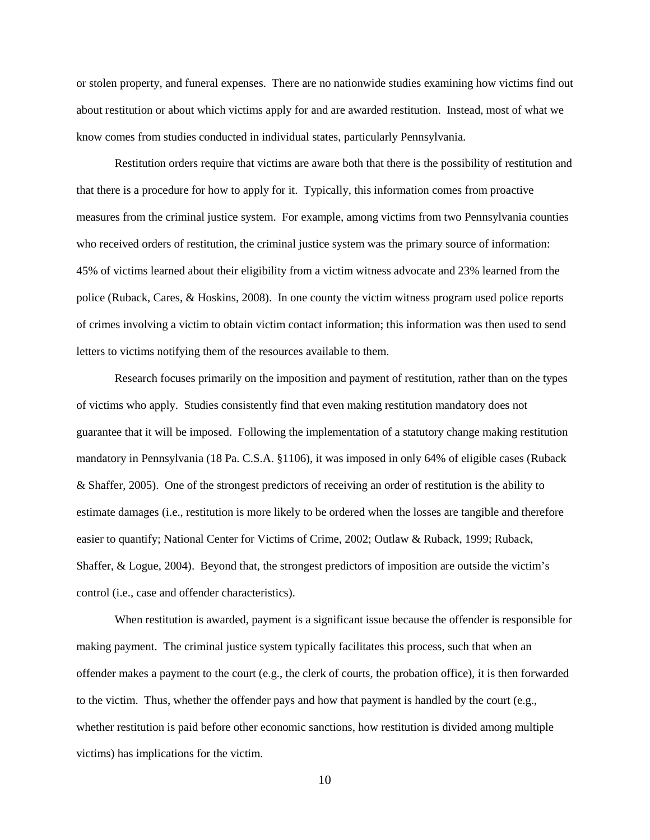or stolen property, and funeral expenses. There are no nationwide studies examining how victims find out about restitution or about which victims apply for and are awarded restitution. Instead, most of what we know comes from studies conducted in individual states, particularly Pennsylvania.

Restitution orders require that victims are aware both that there is the possibility of restitution and that there is a procedure for how to apply for it. Typically, this information comes from proactive measures from the criminal justice system. For example, among victims from two Pennsylvania counties who received orders of restitution, the criminal justice system was the primary source of information: 45% of victims learned about their eligibility from a victim witness advocate and 23% learned from the police [\(Ruback, Cares, & Hoskins, 2008\)](#page-26-2). In one county the victim witness program used police reports of crimes involving a victim to obtain victim contact information; this information was then used to send letters to victims notifying them of the resources available to them.

Research focuses primarily on the imposition and payment of restitution, rather than on the types of victims who apply. Studies consistently find that even making restitution mandatory does not guarantee that it will be imposed. Following the implementation of a statutory change making restitution mandatory in Pennsylvania (18 Pa. C.S.A. §1106), it was imposed in only 64% of eligible cases [\(Ruback](#page-26-3)  [& Shaffer, 2005\)](#page-26-3). One of the strongest predictors of receiving an order of restitution is the ability to estimate damages (i.e., restitution is more likely to be ordered when the losses are tangible and therefore easier to quantify; [National Center for Victims of Crime, 2002;](#page-24-7) [Outlaw & Ruback, 1999;](#page-25-5) [Ruback,](#page-26-4)  [Shaffer, & Logue, 2004\)](#page-26-4). Beyond that, the strongest predictors of imposition are outside the victim's control (i.e., case and offender characteristics).

When restitution is awarded, payment is a significant issue because the offender is responsible for making payment. The criminal justice system typically facilitates this process, such that when an offender makes a payment to the court (e.g., the clerk of courts, the probation office), it is then forwarded to the victim. Thus, whether the offender pays and how that payment is handled by the court (e.g., whether restitution is paid before other economic sanctions, how restitution is divided among multiple victims) has implications for the victim.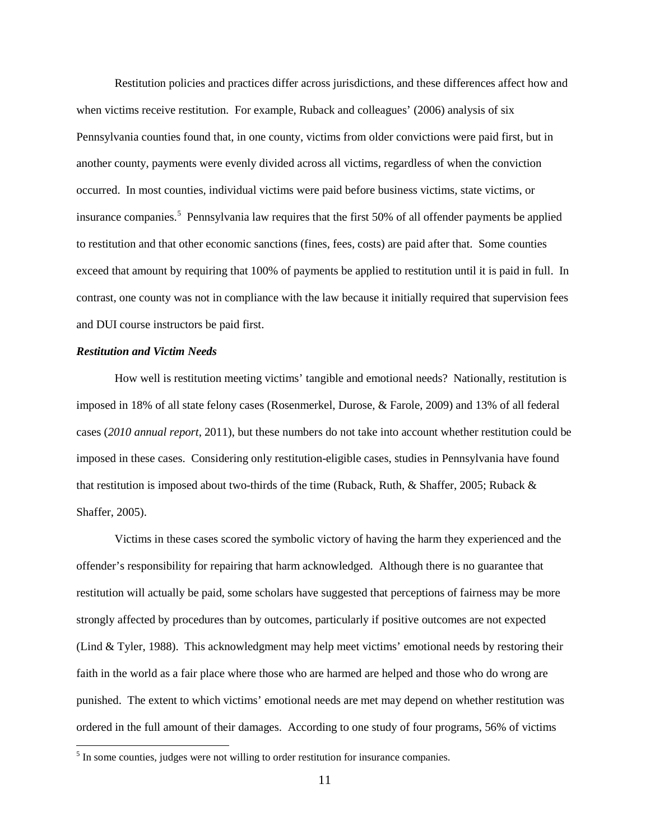Restitution policies and practices differ across jurisdictions, and these differences affect how and when victims receive restitution. For example, Ruback and colleagues' [\(2006\)](#page-26-5) analysis of six Pennsylvania counties found that, in one county, victims from older convictions were paid first, but in another county, payments were evenly divided across all victims, regardless of when the conviction occurred. In most counties, individual victims were paid before business victims, state victims, or insurance companies.<sup>[5](#page-11-0)</sup> Pennsylvania law requires that the first 50% of all offender payments be applied to restitution and that other economic sanctions (fines, fees, costs) are paid after that. Some counties exceed that amount by requiring that 100% of payments be applied to restitution until it is paid in full. In contrast, one county was not in compliance with the law because it initially required that supervision fees and DUI course instructors be paid first.

## *Restitution and Victim Needs*

How well is restitution meeting victims' tangible and emotional needs? Nationally, restitution is imposed in 18% of all state felony cases [\(Rosenmerkel, Durose, & Farole, 2009\)](#page-25-7) and 13% of all federal cases (*[2010 annual report](#page-23-6)*, 2011), but these numbers do not take into account whether restitution could be imposed in these cases. Considering only restitution-eligible cases, studies in Pennsylvania have found that restitution is imposed about two-thirds of the time [\(Ruback, Ruth, & Shaffer, 2005;](#page-26-6) [Ruback &](#page-26-3)  [Shaffer, 2005\)](#page-26-3).

Victims in these cases scored the symbolic victory of having the harm they experienced and the offender's responsibility for repairing that harm acknowledged. Although there is no guarantee that restitution will actually be paid, some scholars have suggested that perceptions of fairness may be more strongly affected by procedures than by outcomes, particularly if positive outcomes are not expected [\(Lind & Tyler, 1988\)](#page-24-8). This acknowledgment may help meet victims' emotional needs by restoring their faith in the world as a fair place where those who are harmed are helped and those who do wrong are punished. The extent to which victims' emotional needs are met may depend on whether restitution was ordered in the full amount of their damages. According to one study of four programs, 56% of victims

<span id="page-11-0"></span><sup>&</sup>lt;sup>5</sup> In some counties, judges were not willing to order restitution for insurance companies.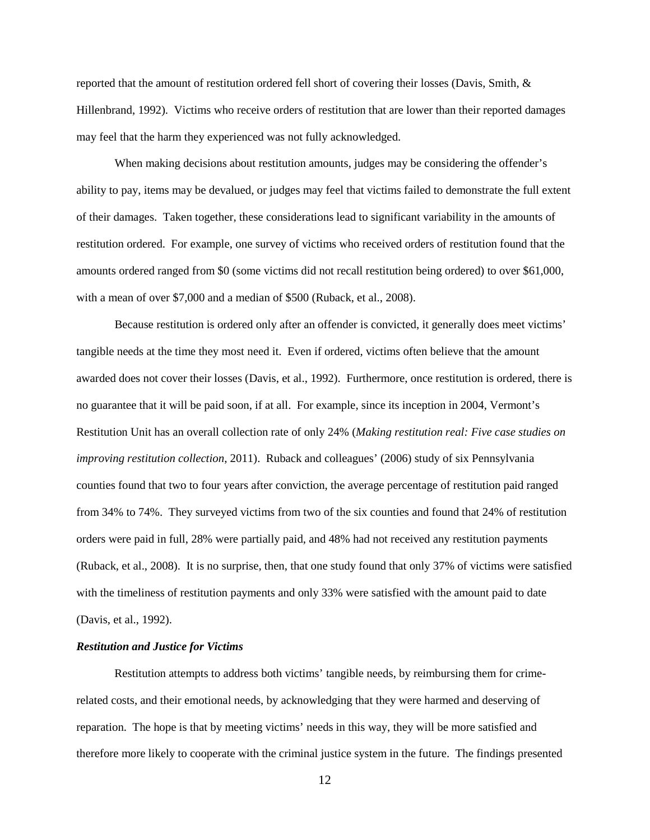reported that the amount of restitution ordered fell short of covering their losses [\(Davis, Smith, &](#page-23-7) [Hillenbrand, 1992\)](#page-23-7). Victims who receive orders of restitution that are lower than their reported damages may feel that the harm they experienced was not fully acknowledged.

When making decisions about restitution amounts, judges may be considering the offender's ability to pay, items may be devalued, or judges may feel that victims failed to demonstrate the full extent of their damages. Taken together, these considerations lead to significant variability in the amounts of restitution ordered. For example, one survey of victims who received orders of restitution found that the amounts ordered ranged from \$0 (some victims did not recall restitution being ordered) to over \$61,000, with a mean of over \$7,000 and a median of \$500 [\(Ruback, et al., 2008\)](#page-26-2).

Because restitution is ordered only after an offender is convicted, it generally does meet victims' tangible needs at the time they most need it. Even if ordered, victims often believe that the amount awarded does not cover their losses [\(Davis, et al., 1992\)](#page-23-7). Furthermore, once restitution is ordered, there is no guarantee that it will be paid soon, if at all. For example, since its inception in 2004, Vermont's Restitution Unit has an overall collection rate of only 24% (*[Making restitution real: Five case studies on](#page-24-5)  [improving restitution collection](#page-24-5)*, 2011). Ruback and colleagues' [\(2006\)](#page-26-5) study of six Pennsylvania counties found that two to four years after conviction, the average percentage of restitution paid ranged from 34% to 74%. They surveyed victims from two of the six counties and found that 24% of restitution orders were paid in full, 28% were partially paid, and 48% had not received any restitution payments [\(Ruback, et al., 2008\)](#page-26-2). It is no surprise, then, that one study found that only 37% of victims were satisfied with the timeliness of restitution payments and only 33% were satisfied with the amount paid to date [\(Davis, et al., 1992\)](#page-23-7).

## *Restitution and Justice for Victims*

Restitution attempts to address both victims' tangible needs, by reimbursing them for crimerelated costs, and their emotional needs, by acknowledging that they were harmed and deserving of reparation. The hope is that by meeting victims' needs in this way, they will be more satisfied and therefore more likely to cooperate with the criminal justice system in the future. The findings presented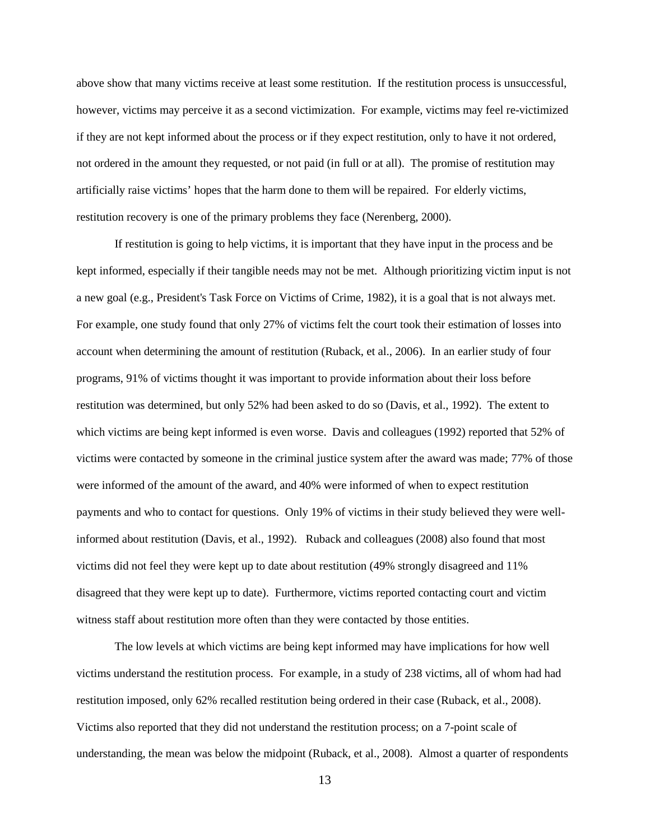above show that many victims receive at least some restitution. If the restitution process is unsuccessful, however, victims may perceive it as a second victimization. For example, victims may feel re-victimized if they are not kept informed about the process or if they expect restitution, only to have it not ordered, not ordered in the amount they requested, or not paid (in full or at all). The promise of restitution may artificially raise victims' hopes that the harm done to them will be repaired. For elderly victims, restitution recovery is one of the primary problems they face [\(Nerenberg, 2000\)](#page-25-8).

If restitution is going to help victims, it is important that they have input in the process and be kept informed, especially if their tangible needs may not be met. Although prioritizing victim input is not a new goal [\(e.g., President's Task Force on Victims of Crime, 1982\)](#page-25-0), it is a goal that is not always met. For example, one study found that only 27% of victims felt the court took their estimation of losses into account when determining the amount of restitution [\(Ruback, et al., 2006\)](#page-26-5). In an earlier study of four programs, 91% of victims thought it was important to provide information about their loss before restitution was determined, but only 52% had been asked to do so [\(Davis, et al., 1992\)](#page-23-7). The extent to which victims are being kept informed is even worse. Davis and colleagues [\(1992\)](#page-23-7) reported that 52% of victims were contacted by someone in the criminal justice system after the award was made; 77% of those were informed of the amount of the award, and 40% were informed of when to expect restitution payments and who to contact for questions. Only 19% of victims in their study believed they were wellinformed about restitution [\(Davis, et al., 1992\)](#page-23-7). Ruback and colleagues [\(2008\)](#page-26-2) also found that most victims did not feel they were kept up to date about restitution (49% strongly disagreed and 11% disagreed that they were kept up to date). Furthermore, victims reported contacting court and victim witness staff about restitution more often than they were contacted by those entities.

The low levels at which victims are being kept informed may have implications for how well victims understand the restitution process. For example, in a study of 238 victims, all of whom had had restitution imposed, only 62% recalled restitution being ordered in their case [\(Ruback, et al., 2008\)](#page-26-2). Victims also reported that they did not understand the restitution process; on a 7-point scale of understanding, the mean was below the midpoint [\(Ruback, et al., 2008\)](#page-26-2). Almost a quarter of respondents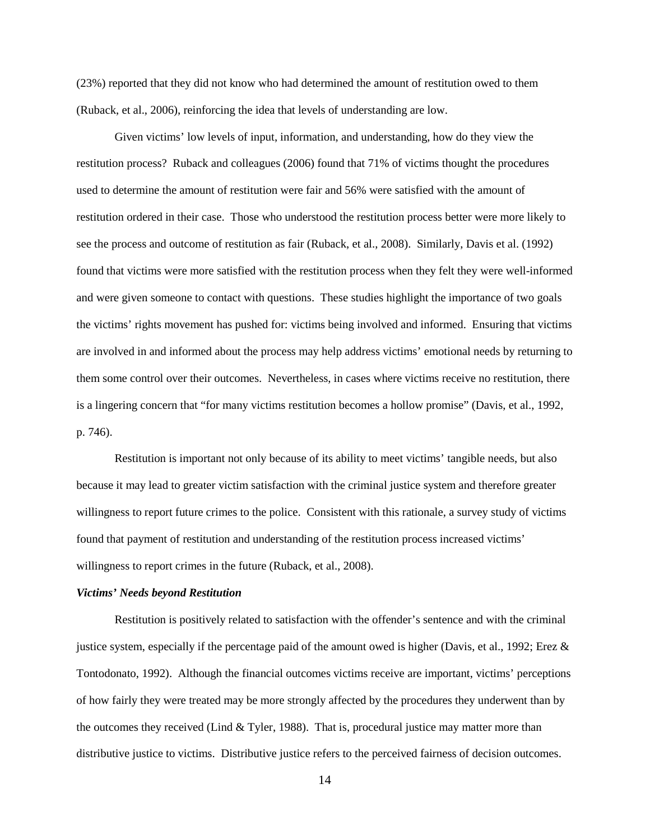(23%) reported that they did not know who had determined the amount of restitution owed to them [\(Ruback, et al., 2006\)](#page-26-5), reinforcing the idea that levels of understanding are low.

Given victims' low levels of input, information, and understanding, how do they view the restitution process? Ruback and colleagues [\(2006\)](#page-26-5) found that 71% of victims thought the procedures used to determine the amount of restitution were fair and 56% were satisfied with the amount of restitution ordered in their case. Those who understood the restitution process better were more likely to see the process and outcome of restitution as fair [\(Ruback, et al., 2008\)](#page-26-2). Similarly, Davis et al. [\(1992\)](#page-23-7) found that victims were more satisfied with the restitution process when they felt they were well-informed and were given someone to contact with questions. These studies highlight the importance of two goals the victims' rights movement has pushed for: victims being involved and informed. Ensuring that victims are involved in and informed about the process may help address victims' emotional needs by returning to them some control over their outcomes. Nevertheless, in cases where victims receive no restitution, there is a lingering concern that "for many victims restitution becomes a hollow promise" [\(Davis, et al., 1992,](#page-23-7)  [p. 746\)](#page-23-7).

Restitution is important not only because of its ability to meet victims' tangible needs, but also because it may lead to greater victim satisfaction with the criminal justice system and therefore greater willingness to report future crimes to the police. Consistent with this rationale, a survey study of victims found that payment of restitution and understanding of the restitution process increased victims' willingness to report crimes in the future [\(Ruback, et al., 2008\)](#page-26-2).

## *Victims' Needs beyond Restitution*

Restitution is positively related to satisfaction with the offender's sentence and with the criminal justice system, especially if the percentage paid of the amount owed is higher [\(Davis, et al., 1992;](#page-23-7) [Erez &](#page-23-8)  [Tontodonato, 1992\)](#page-23-8). Although the financial outcomes victims receive are important, victims' perceptions of how fairly they were treated may be more strongly affected by the procedures they underwent than by the outcomes they received (Lind  $&$  Tyler, 1988). That is, procedural justice may matter more than distributive justice to victims. Distributive justice refers to the perceived fairness of decision outcomes.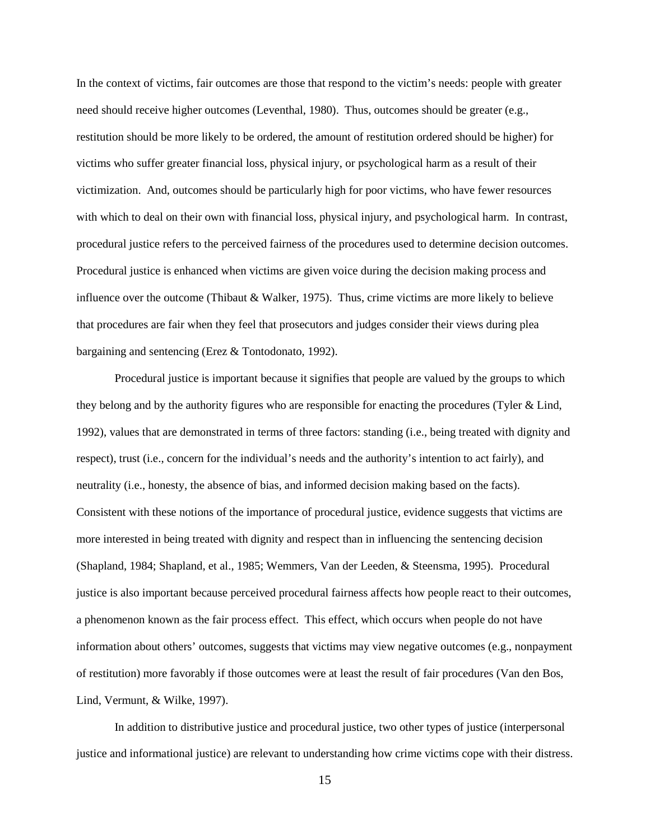In the context of victims, fair outcomes are those that respond to the victim's needs: people with greater need should receive higher outcomes [\(Leventhal, 1980\)](#page-24-9). Thus, outcomes should be greater (e.g., restitution should be more likely to be ordered, the amount of restitution ordered should be higher) for victims who suffer greater financial loss, physical injury, or psychological harm as a result of their victimization. And, outcomes should be particularly high for poor victims, who have fewer resources with which to deal on their own with financial loss, physical injury, and psychological harm. In contrast, procedural justice refers to the perceived fairness of the procedures used to determine decision outcomes. Procedural justice is enhanced when victims are given voice during the decision making process and influence over the outcome [\(Thibaut & Walker, 1975\)](#page-27-6). Thus, crime victims are more likely to believe that procedures are fair when they feel that prosecutors and judges consider their views during plea bargaining and sentencing [\(Erez & Tontodonato, 1992\)](#page-23-8).

Procedural justice is important because it signifies that people are valued by the groups to which they belong and by the authority figures who are responsible for enacting the procedures [\(Tyler & Lind,](#page-27-7)  [1992\)](#page-27-7), values that are demonstrated in terms of three factors: standing (i.e., being treated with dignity and respect), trust (i.e., concern for the individual's needs and the authority's intention to act fairly), and neutrality (i.e., honesty, the absence of bias, and informed decision making based on the facts). Consistent with these notions of the importance of procedural justice, evidence suggests that victims are more interested in being treated with dignity and respect than in influencing the sentencing decision [\(Shapland, 1984;](#page-26-7) [Shapland, et al., 1985;](#page-27-2) [Wemmers, Van der Leeden, & Steensma, 1995\)](#page-28-1). Procedural justice is also important because perceived procedural fairness affects how people react to their outcomes, a phenomenon known as the fair process effect. This effect, which occurs when people do not have information about others' outcomes, suggests that victims may view negative outcomes (e.g., nonpayment of restitution) more favorably if those outcomes were at least the result of fair procedures [\(Van den Bos,](#page-28-2)  [Lind, Vermunt, & Wilke, 1997\)](#page-28-2).

In addition to distributive justice and procedural justice, two other types of justice (interpersonal justice and informational justice) are relevant to understanding how crime victims cope with their distress.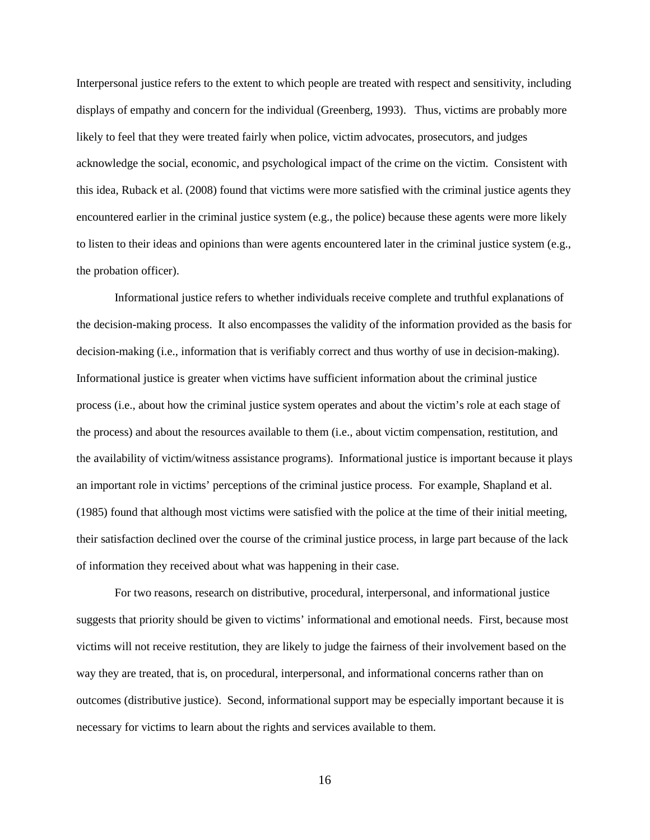Interpersonal justice refers to the extent to which people are treated with respect and sensitivity, including displays of empathy and concern for the individual [\(Greenberg, 1993\)](#page-23-9). Thus, victims are probably more likely to feel that they were treated fairly when police, victim advocates, prosecutors, and judges acknowledge the social, economic, and psychological impact of the crime on the victim. Consistent with this idea, Ruback et al. [\(2008\)](#page-26-2) found that victims were more satisfied with the criminal justice agents they encountered earlier in the criminal justice system (e.g., the police) because these agents were more likely to listen to their ideas and opinions than were agents encountered later in the criminal justice system (e.g., the probation officer).

Informational justice refers to whether individuals receive complete and truthful explanations of the decision-making process. It also encompasses the validity of the information provided as the basis for decision-making (i.e., information that is verifiably correct and thus worthy of use in decision-making). Informational justice is greater when victims have sufficient information about the criminal justice process (i.e., about how the criminal justice system operates and about the victim's role at each stage of the process) and about the resources available to them (i.e., about victim compensation, restitution, and the availability of victim/witness assistance programs). Informational justice is important because it plays an important role in victims' perceptions of the criminal justice process. For example, Shapland et al. [\(1985\)](#page-27-2) found that although most victims were satisfied with the police at the time of their initial meeting, their satisfaction declined over the course of the criminal justice process, in large part because of the lack of information they received about what was happening in their case.

For two reasons, research on distributive, procedural, interpersonal, and informational justice suggests that priority should be given to victims' informational and emotional needs. First, because most victims will not receive restitution, they are likely to judge the fairness of their involvement based on the way they are treated, that is, on procedural, interpersonal, and informational concerns rather than on outcomes (distributive justice). Second, informational support may be especially important because it is necessary for victims to learn about the rights and services available to them.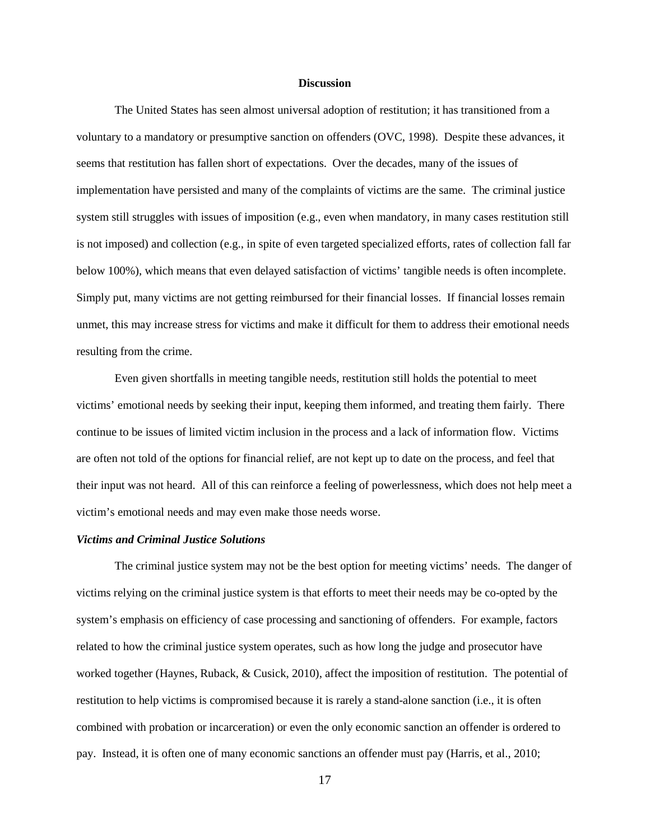#### **Discussion**

The United States has seen almost universal adoption of restitution; it has transitioned from a voluntary to a mandatory or presumptive sanction on offenders [\(OVC, 1998\)](#page-25-6). Despite these advances, it seems that restitution has fallen short of expectations. Over the decades, many of the issues of implementation have persisted and many of the complaints of victims are the same. The criminal justice system still struggles with issues of imposition (e.g., even when mandatory, in many cases restitution still is not imposed) and collection (e.g., in spite of even targeted specialized efforts, rates of collection fall far below 100%), which means that even delayed satisfaction of victims' tangible needs is often incomplete. Simply put, many victims are not getting reimbursed for their financial losses. If financial losses remain unmet, this may increase stress for victims and make it difficult for them to address their emotional needs resulting from the crime.

Even given shortfalls in meeting tangible needs, restitution still holds the potential to meet victims' emotional needs by seeking their input, keeping them informed, and treating them fairly. There continue to be issues of limited victim inclusion in the process and a lack of information flow. Victims are often not told of the options for financial relief, are not kept up to date on the process, and feel that their input was not heard. All of this can reinforce a feeling of powerlessness, which does not help meet a victim's emotional needs and may even make those needs worse.

#### *Victims and Criminal Justice Solutions*

The criminal justice system may not be the best option for meeting victims' needs. The danger of victims relying on the criminal justice system is that efforts to meet their needs may be co-opted by the system's emphasis on efficiency of case processing and sanctioning of offenders. For example, factors related to how the criminal justice system operates, such as how long the judge and prosecutor have worked together [\(Haynes, Ruback, & Cusick, 2010\)](#page-23-10), affect the imposition of restitution. The potential of restitution to help victims is compromised because it is rarely a stand-alone sanction (i.e., it is often combined with probation or incarceration) or even the only economic sanction an offender is ordered to pay. Instead, it is often one of many economic sanctions an offender must pay [\(Harris, et al., 2010;](#page-23-3)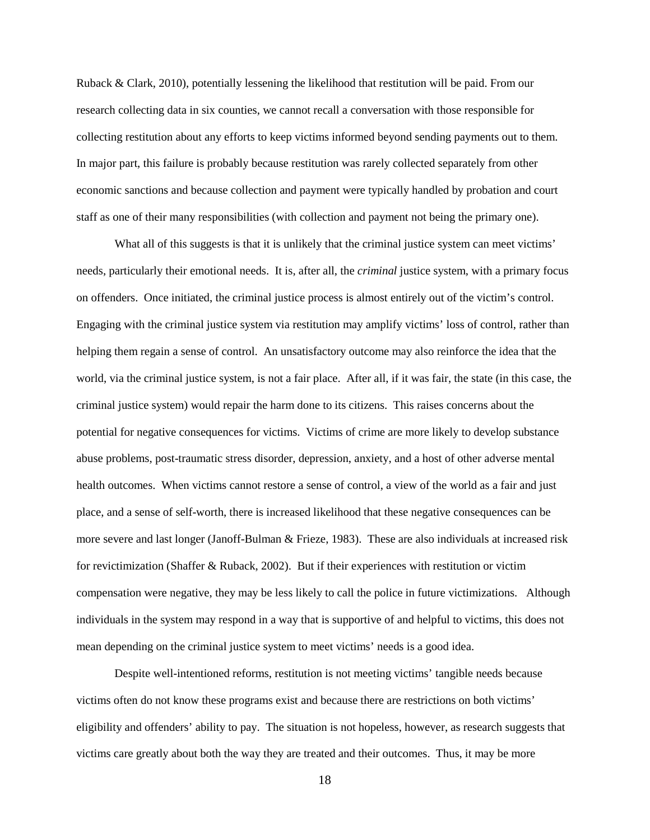[Ruback & Clark, 2010\)](#page-26-8), potentially lessening the likelihood that restitution will be paid. From our research collecting data in six counties, we cannot recall a conversation with those responsible for collecting restitution about any efforts to keep victims informed beyond sending payments out to them. In major part, this failure is probably because restitution was rarely collected separately from other economic sanctions and because collection and payment were typically handled by probation and court staff as one of their many responsibilities (with collection and payment not being the primary one).

What all of this suggests is that it is unlikely that the criminal justice system can meet victims' needs, particularly their emotional needs. It is, after all, the *criminal* justice system, with a primary focus on offenders. Once initiated, the criminal justice process is almost entirely out of the victim's control. Engaging with the criminal justice system via restitution may amplify victims' loss of control, rather than helping them regain a sense of control. An unsatisfactory outcome may also reinforce the idea that the world, via the criminal justice system, is not a fair place. After all, if it was fair, the state (in this case, the criminal justice system) would repair the harm done to its citizens. This raises concerns about the potential for negative consequences for victims. Victims of crime are more likely to develop substance abuse problems, post-traumatic stress disorder, depression, anxiety, and a host of other adverse mental health outcomes. When victims cannot restore a sense of control, a view of the world as a fair and just place, and a sense of self-worth, there is increased likelihood that these negative consequences can be more severe and last longer [\(Janoff-Bulman & Frieze, 1983\)](#page-24-10). These are also individuals at increased risk for revictimization [\(Shaffer & Ruback, 2002\)](#page-26-9). But if their experiences with restitution or victim compensation were negative, they may be less likely to call the police in future victimizations. Although individuals in the system may respond in a way that is supportive of and helpful to victims, this does not mean depending on the criminal justice system to meet victims' needs is a good idea.

Despite well-intentioned reforms, restitution is not meeting victims' tangible needs because victims often do not know these programs exist and because there are restrictions on both victims' eligibility and offenders' ability to pay. The situation is not hopeless, however, as research suggests that victims care greatly about both the way they are treated and their outcomes. Thus, it may be more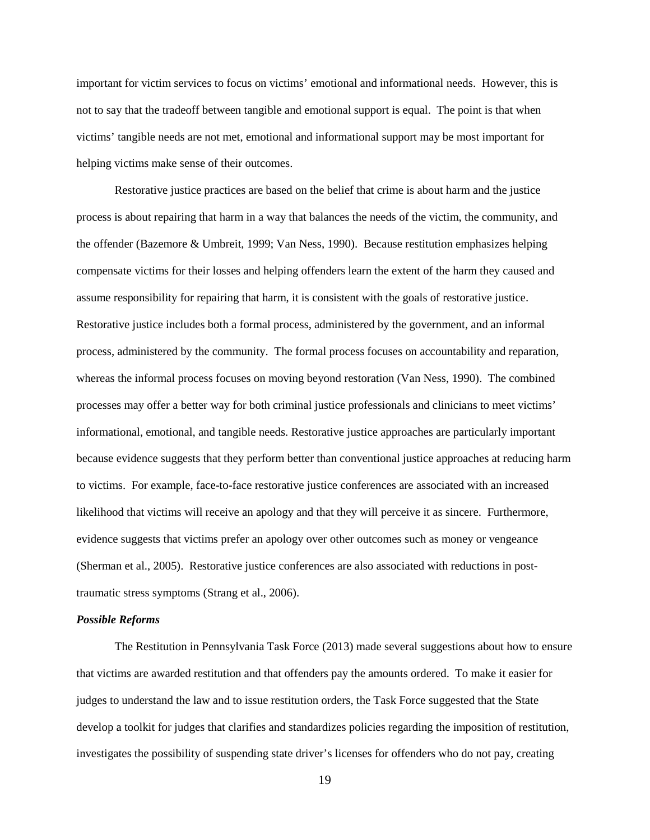important for victim services to focus on victims' emotional and informational needs. However, this is not to say that the tradeoff between tangible and emotional support is equal. The point is that when victims' tangible needs are not met, emotional and informational support may be most important for helping victims make sense of their outcomes.

Restorative justice practices are based on the belief that crime is about harm and the justice process is about repairing that harm in a way that balances the needs of the victim, the community, and the offender [\(Bazemore & Umbreit, 1999;](#page-23-11) [Van Ness, 1990\)](#page-28-3). Because restitution emphasizes helping compensate victims for their losses and helping offenders learn the extent of the harm they caused and assume responsibility for repairing that harm, it is consistent with the goals of restorative justice. Restorative justice includes both a formal process, administered by the government, and an informal process, administered by the community. The formal process focuses on accountability and reparation, whereas the informal process focuses on moving beyond restoration [\(Van Ness, 1990\)](#page-28-3). The combined processes may offer a better way for both criminal justice professionals and clinicians to meet victims' informational, emotional, and tangible needs. Restorative justice approaches are particularly important because evidence suggests that they perform better than conventional justice approaches at reducing harm to victims. For example, face-to-face restorative justice conferences are associated with an increased likelihood that victims will receive an apology and that they will perceive it as sincere. Furthermore, evidence suggests that victims prefer an apology over other outcomes such as money or vengeance [\(Sherman et al., 2005\)](#page-27-8). Restorative justice conferences are also associated with reductions in posttraumatic stress symptoms [\(Strang et al., 2006\)](#page-27-9).

## *Possible Reforms*

The Restitution in Pennsylvania Task Force [\(2013\)](#page-25-9) made several suggestions about how to ensure that victims are awarded restitution and that offenders pay the amounts ordered. To make it easier for judges to understand the law and to issue restitution orders, the Task Force suggested that the State develop a toolkit for judges that clarifies and standardizes policies regarding the imposition of restitution, investigates the possibility of suspending state driver's licenses for offenders who do not pay, creating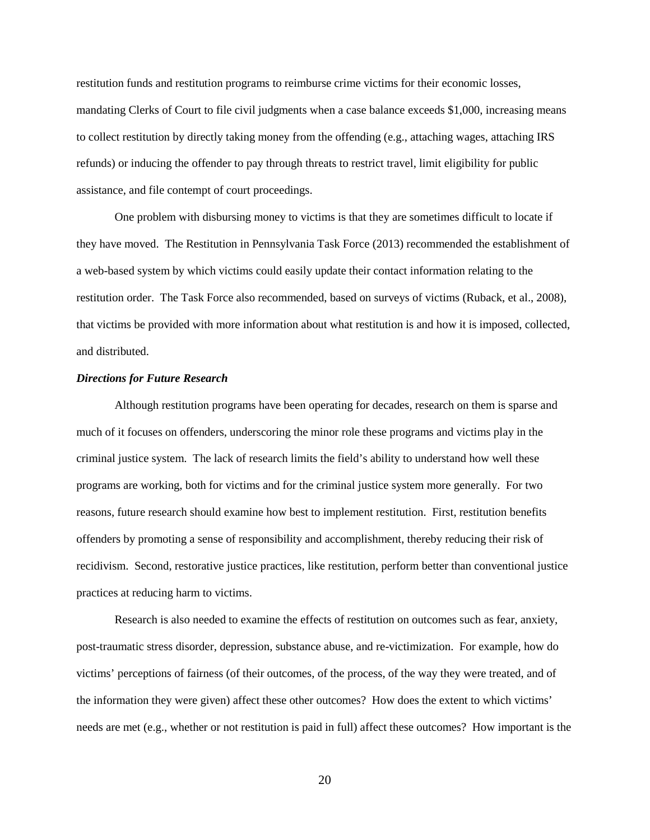restitution funds and restitution programs to reimburse crime victims for their economic losses, mandating Clerks of Court to file civil judgments when a case balance exceeds \$1,000, increasing means to collect restitution by directly taking money from the offending (e.g., attaching wages, attaching IRS refunds) or inducing the offender to pay through threats to restrict travel, limit eligibility for public assistance, and file contempt of court proceedings.

One problem with disbursing money to victims is that they are sometimes difficult to locate if they have moved. The Restitution in Pennsylvania Task Force [\(2013\)](#page-25-9) recommended the establishment of a web-based system by which victims could easily update their contact information relating to the restitution order. The Task Force also recommended, based on surveys of victims [\(Ruback, et al., 2008\)](#page-26-2), that victims be provided with more information about what restitution is and how it is imposed, collected, and distributed.

## *Directions for Future Research*

Although restitution programs have been operating for decades, research on them is sparse and much of it focuses on offenders, underscoring the minor role these programs and victims play in the criminal justice system. The lack of research limits the field's ability to understand how well these programs are working, both for victims and for the criminal justice system more generally. For two reasons, future research should examine how best to implement restitution. First, restitution benefits offenders by promoting a sense of responsibility and accomplishment, thereby reducing their risk of recidivism. Second, restorative justice practices, like restitution, perform better than conventional justice practices at reducing harm to victims.

Research is also needed to examine the effects of restitution on outcomes such as fear, anxiety, post-traumatic stress disorder, depression, substance abuse, and re-victimization. For example, how do victims' perceptions of fairness (of their outcomes, of the process, of the way they were treated, and of the information they were given) affect these other outcomes? How does the extent to which victims' needs are met (e.g., whether or not restitution is paid in full) affect these outcomes? How important is the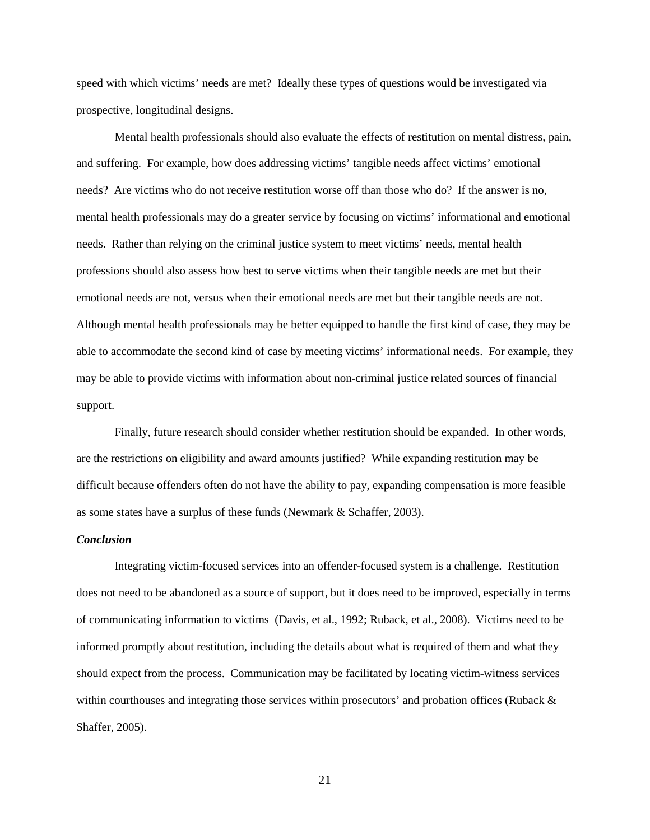speed with which victims' needs are met? Ideally these types of questions would be investigated via prospective, longitudinal designs.

Mental health professionals should also evaluate the effects of restitution on mental distress, pain, and suffering. For example, how does addressing victims' tangible needs affect victims' emotional needs? Are victims who do not receive restitution worse off than those who do? If the answer is no, mental health professionals may do a greater service by focusing on victims' informational and emotional needs. Rather than relying on the criminal justice system to meet victims' needs, mental health professions should also assess how best to serve victims when their tangible needs are met but their emotional needs are not, versus when their emotional needs are met but their tangible needs are not. Although mental health professionals may be better equipped to handle the first kind of case, they may be able to accommodate the second kind of case by meeting victims' informational needs. For example, they may be able to provide victims with information about non-criminal justice related sources of financial support.

Finally, future research should consider whether restitution should be expanded. In other words, are the restrictions on eligibility and award amounts justified? While expanding restitution may be difficult because offenders often do not have the ability to pay, expanding compensation is more feasible as some states have a surplus of these funds [\(Newmark & Schaffer, 2003\)](#page-25-10).

## *Conclusion*

Integrating victim-focused services into an offender-focused system is a challenge. Restitution does not need to be abandoned as a source of support, but it does need to be improved, especially in terms of communicating information to victims [\(Davis, et al., 1992;](#page-23-7) [Ruback, et al., 2008\)](#page-26-2). Victims need to be informed promptly about restitution, including the details about what is required of them and what they should expect from the process. Communication may be facilitated by locating victim-witness services within courthouses and integrating those services within prosecutors' and probation offices [\(Ruback &](#page-26-3)  [Shaffer, 2005\)](#page-26-3).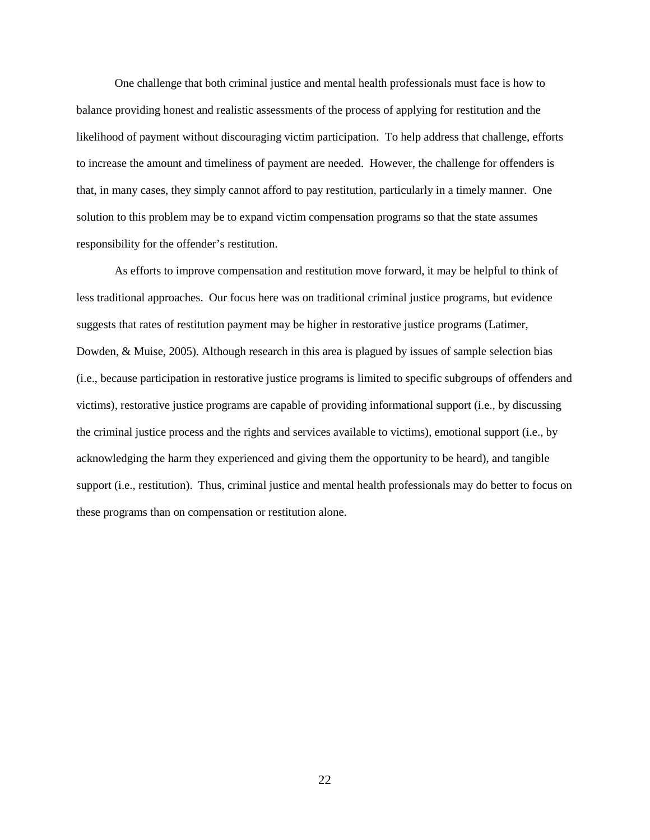One challenge that both criminal justice and mental health professionals must face is how to balance providing honest and realistic assessments of the process of applying for restitution and the likelihood of payment without discouraging victim participation. To help address that challenge, efforts to increase the amount and timeliness of payment are needed. However, the challenge for offenders is that, in many cases, they simply cannot afford to pay restitution, particularly in a timely manner. One solution to this problem may be to expand victim compensation programs so that the state assumes responsibility for the offender's restitution.

As efforts to improve compensation and restitution move forward, it may be helpful to think of less traditional approaches. Our focus here was on traditional criminal justice programs, but evidence suggests that rates of restitution payment may be higher in restorative justice programs [\(Latimer,](#page-24-11)  [Dowden, & Muise, 2005\)](#page-24-11). Although research in this area is plagued by issues of sample selection bias (i.e., because participation in restorative justice programs is limited to specific subgroups of offenders and victims), restorative justice programs are capable of providing informational support (i.e., by discussing the criminal justice process and the rights and services available to victims), emotional support (i.e., by acknowledging the harm they experienced and giving them the opportunity to be heard), and tangible support (i.e., restitution). Thus, criminal justice and mental health professionals may do better to focus on these programs than on compensation or restitution alone.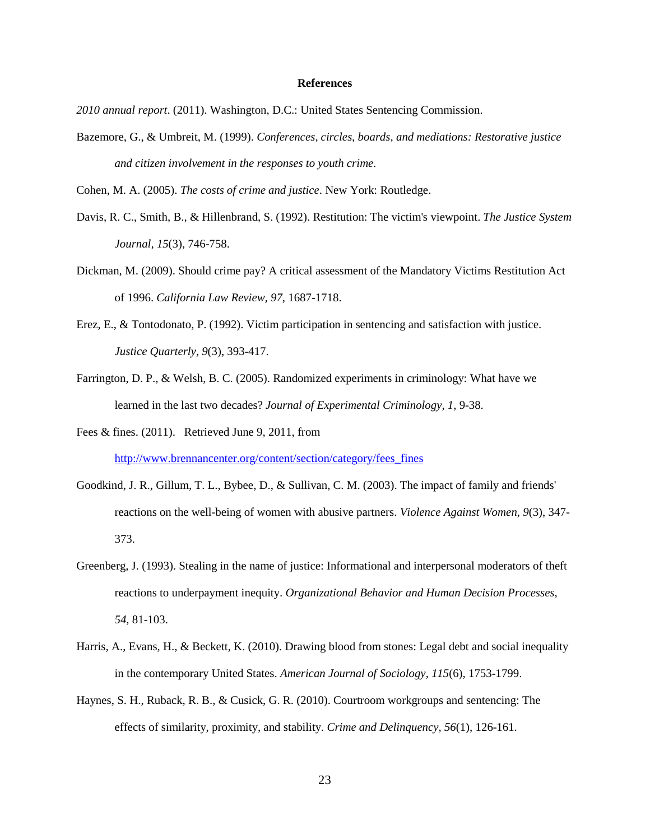#### **References**

<span id="page-23-6"></span>*2010 annual report*. (2011). Washington, D.C.: United States Sentencing Commission.

<span id="page-23-11"></span>Bazemore, G., & Umbreit, M. (1999). *Conferences, circles, boards, and mediations: Restorative justice and citizen involvement in the responses to youth crime*.

<span id="page-23-0"></span>Cohen, M. A. (2005). *The costs of crime and justice*. New York: Routledge.

- <span id="page-23-7"></span>Davis, R. C., Smith, B., & Hillenbrand, S. (1992). Restitution: The victim's viewpoint. *The Justice System Journal, 15*(3), 746-758.
- <span id="page-23-4"></span>Dickman, M. (2009). Should crime pay? A critical assessment of the Mandatory Victims Restitution Act of 1996. *California Law Review, 97*, 1687-1718.
- <span id="page-23-8"></span>Erez, E., & Tontodonato, P. (1992). Victim participation in sentencing and satisfaction with justice. *Justice Quarterly, 9*(3), 393-417.
- <span id="page-23-5"></span>Farrington, D. P., & Welsh, B. C. (2005). Randomized experiments in criminology: What have we learned in the last two decades? *Journal of Experimental Criminology, 1*, 9-38.

<span id="page-23-2"></span>Fees & fines. (2011). Retrieved June 9, 2011, from [http://www.brennancenter.org/content/section/category/fees\\_fines](http://www.brennancenter.org/content/section/category/fees_fines)

- <span id="page-23-1"></span>Goodkind, J. R., Gillum, T. L., Bybee, D., & Sullivan, C. M. (2003). The impact of family and friends' reactions on the well-being of women with abusive partners. *Violence Against Women, 9*(3), 347- 373.
- <span id="page-23-9"></span>Greenberg, J. (1993). Stealing in the name of justice: Informational and interpersonal moderators of theft reactions to underpayment inequity. *Organizational Behavior and Human Decision Processes, 54*, 81-103.
- <span id="page-23-3"></span>Harris, A., Evans, H., & Beckett, K. (2010). Drawing blood from stones: Legal debt and social inequality in the contemporary United States. *American Journal of Sociology, 115*(6), 1753-1799.
- <span id="page-23-10"></span>Haynes, S. H., Ruback, R. B., & Cusick, G. R. (2010). Courtroom workgroups and sentencing: The effects of similarity, proximity, and stability. *Crime and Delinquency, 56*(1), 126-161.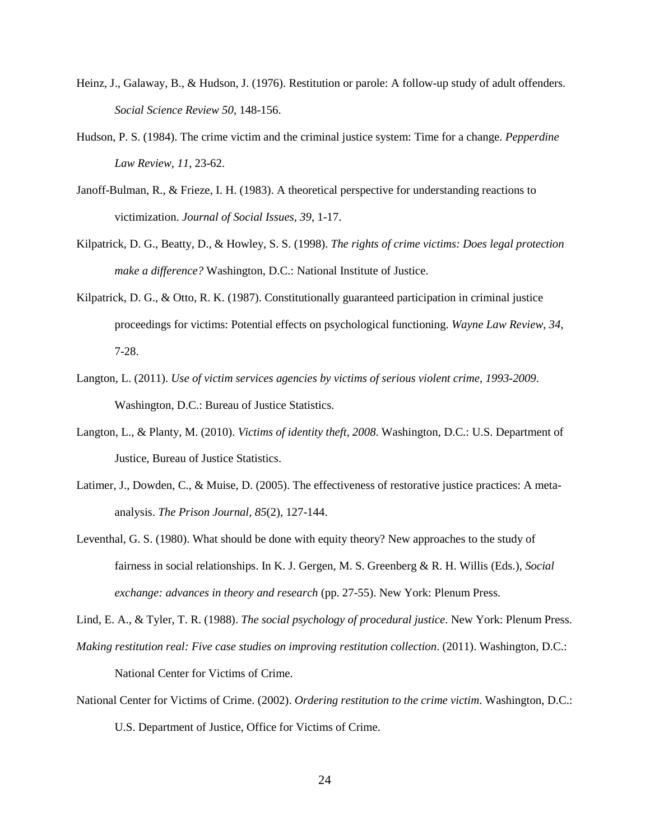- <span id="page-24-6"></span>Heinz, J., Galaway, B., & Hudson, J. (1976). Restitution or parole: A follow-up study of adult offenders. *Social Science Review 50*, 148-156.
- <span id="page-24-2"></span>Hudson, P. S. (1984). The crime victim and the criminal justice system: Time for a change. *Pepperdine Law Review, 11*, 23-62.
- <span id="page-24-10"></span>Janoff-Bulman, R., & Frieze, I. H. (1983). A theoretical perspective for understanding reactions to victimization. *Journal of Social Issues, 39*, 1-17.
- <span id="page-24-0"></span>Kilpatrick, D. G., Beatty, D., & Howley, S. S. (1998). *The rights of crime victims: Does legal protection make a difference?* Washington, D.C.: National Institute of Justice.
- <span id="page-24-3"></span>Kilpatrick, D. G., & Otto, R. K. (1987). Constitutionally guaranteed participation in criminal justice proceedings for victims: Potential effects on psychological functioning. *Wayne Law Review, 34*, 7-28.
- <span id="page-24-4"></span>Langton, L. (2011). *Use of victim services agencies by victims of serious violent crime, 1993-2009*. Washington, D.C.: Bureau of Justice Statistics.
- <span id="page-24-1"></span>Langton, L., & Planty, M. (2010). *Victims of identity theft, 2008*. Washington, D.C.: U.S. Department of Justice, Bureau of Justice Statistics.
- <span id="page-24-11"></span>Latimer, J., Dowden, C., & Muise, D. (2005). The effectiveness of restorative justice practices: A metaanalysis. *The Prison Journal, 85*(2), 127-144.
- <span id="page-24-9"></span>Leventhal, G. S. (1980). What should be done with equity theory? New approaches to the study of fairness in social relationships. In K. J. Gergen, M. S. Greenberg & R. H. Willis (Eds.), *Social exchange: advances in theory and research* (pp. 27-55). New York: Plenum Press.

<span id="page-24-8"></span>Lind, E. A., & Tyler, T. R. (1988). *The social psychology of procedural justice*. New York: Plenum Press.

- <span id="page-24-5"></span>*Making restitution real: Five case studies on improving restitution collection*. (2011). Washington, D.C.: National Center for Victims of Crime.
- <span id="page-24-7"></span>National Center for Victims of Crime. (2002). *Ordering restitution to the crime victim*. Washington, D.C.: U.S. Department of Justice, Office for Victims of Crime.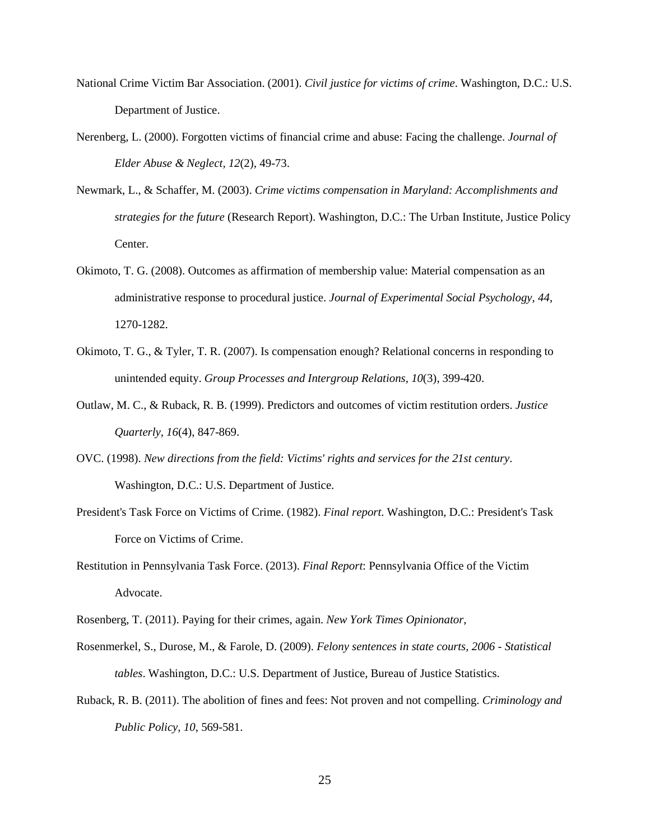- National Crime Victim Bar Association. (2001). *Civil justice for victims of crime*. Washington, D.C.: U.S. Department of Justice.
- <span id="page-25-8"></span>Nerenberg, L. (2000). Forgotten victims of financial crime and abuse: Facing the challenge. *Journal of Elder Abuse & Neglect, 12*(2), 49-73.
- <span id="page-25-10"></span>Newmark, L., & Schaffer, M. (2003). *Crime victims compensation in Maryland: Accomplishments and strategies for the future* (Research Report). Washington, D.C.: The Urban Institute, Justice Policy Center.
- <span id="page-25-4"></span>Okimoto, T. G. (2008). Outcomes as affirmation of membership value: Material compensation as an administrative response to procedural justice. *Journal of Experimental Social Psychology, 44*, 1270-1282.
- <span id="page-25-3"></span>Okimoto, T. G., & Tyler, T. R. (2007). Is compensation enough? Relational concerns in responding to unintended equity. *Group Processes and Intergroup Relations, 10*(3), 399-420.
- <span id="page-25-5"></span>Outlaw, M. C., & Ruback, R. B. (1999). Predictors and outcomes of victim restitution orders. *Justice Quarterly, 16*(4), 847-869.
- <span id="page-25-6"></span>OVC. (1998). *New directions from the field: Victims' rights and services for the 21st century*. Washington, D.C.: U.S. Department of Justice.
- <span id="page-25-0"></span>President's Task Force on Victims of Crime. (1982). *Final report*. Washington, D.C.: President's Task Force on Victims of Crime.
- <span id="page-25-9"></span>Restitution in Pennsylvania Task Force. (2013). *Final Report*: Pennsylvania Office of the Victim Advocate.
- <span id="page-25-1"></span>Rosenberg, T. (2011). Paying for their crimes, again. *New York Times Opinionator*,
- <span id="page-25-7"></span>Rosenmerkel, S., Durose, M., & Farole, D. (2009). *Felony sentences in state courts, 2006 - Statistical tables*. Washington, D.C.: U.S. Department of Justice, Bureau of Justice Statistics.
- <span id="page-25-2"></span>Ruback, R. B. (2011). The abolition of fines and fees: Not proven and not compelling. *Criminology and Public Policy, 10*, 569-581.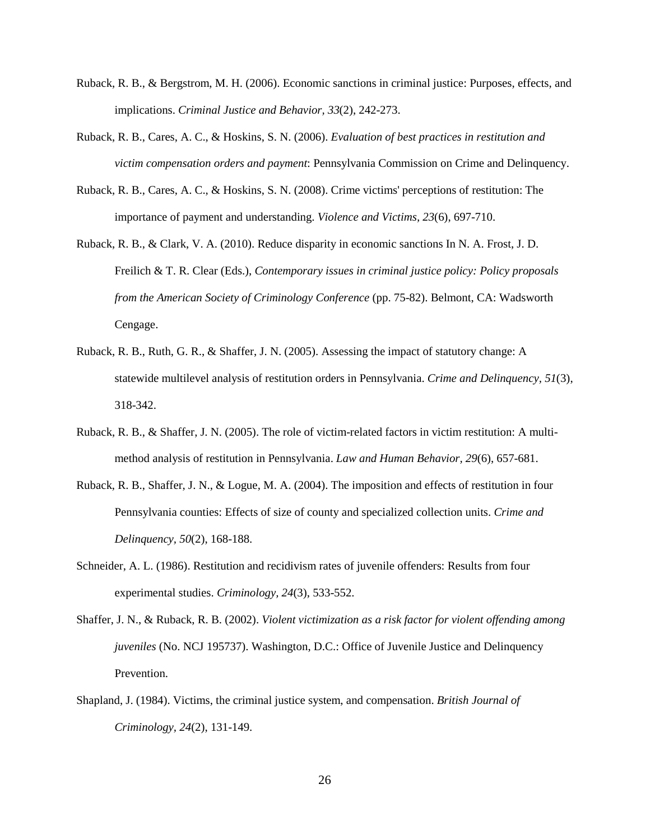- <span id="page-26-0"></span>Ruback, R. B., & Bergstrom, M. H. (2006). Economic sanctions in criminal justice: Purposes, effects, and implications. *Criminal Justice and Behavior, 33*(2), 242-273.
- <span id="page-26-5"></span>Ruback, R. B., Cares, A. C., & Hoskins, S. N. (2006). *Evaluation of best practices in restitution and victim compensation orders and payment*: Pennsylvania Commission on Crime and Delinquency.
- <span id="page-26-2"></span>Ruback, R. B., Cares, A. C., & Hoskins, S. N. (2008). Crime victims' perceptions of restitution: The importance of payment and understanding. *Violence and Victims, 23*(6), 697-710.
- <span id="page-26-8"></span>Ruback, R. B., & Clark, V. A. (2010). Reduce disparity in economic sanctions In N. A. Frost, J. D. Freilich & T. R. Clear (Eds.), *Contemporary issues in criminal justice policy: Policy proposals from the American Society of Criminology Conference* (pp. 75-82). Belmont, CA: Wadsworth Cengage.
- <span id="page-26-6"></span>Ruback, R. B., Ruth, G. R., & Shaffer, J. N. (2005). Assessing the impact of statutory change: A statewide multilevel analysis of restitution orders in Pennsylvania. *Crime and Delinquency, 51*(3), 318-342.
- <span id="page-26-3"></span>Ruback, R. B., & Shaffer, J. N. (2005). The role of victim-related factors in victim restitution: A multimethod analysis of restitution in Pennsylvania. *Law and Human Behavior, 29*(6), 657-681.
- <span id="page-26-4"></span>Ruback, R. B., Shaffer, J. N., & Logue, M. A. (2004). The imposition and effects of restitution in four Pennsylvania counties: Effects of size of county and specialized collection units. *Crime and Delinquency, 50*(2), 168-188.
- <span id="page-26-1"></span>Schneider, A. L. (1986). Restitution and recidivism rates of juvenile offenders: Results from four experimental studies. *Criminology, 24*(3), 533-552.
- <span id="page-26-9"></span>Shaffer, J. N., & Ruback, R. B. (2002). *Violent victimization as a risk factor for violent offending among juveniles* (No. NCJ 195737). Washington, D.C.: Office of Juvenile Justice and Delinquency Prevention.
- <span id="page-26-7"></span>Shapland, J. (1984). Victims, the criminal justice system, and compensation. *British Journal of Criminology, 24*(2), 131-149.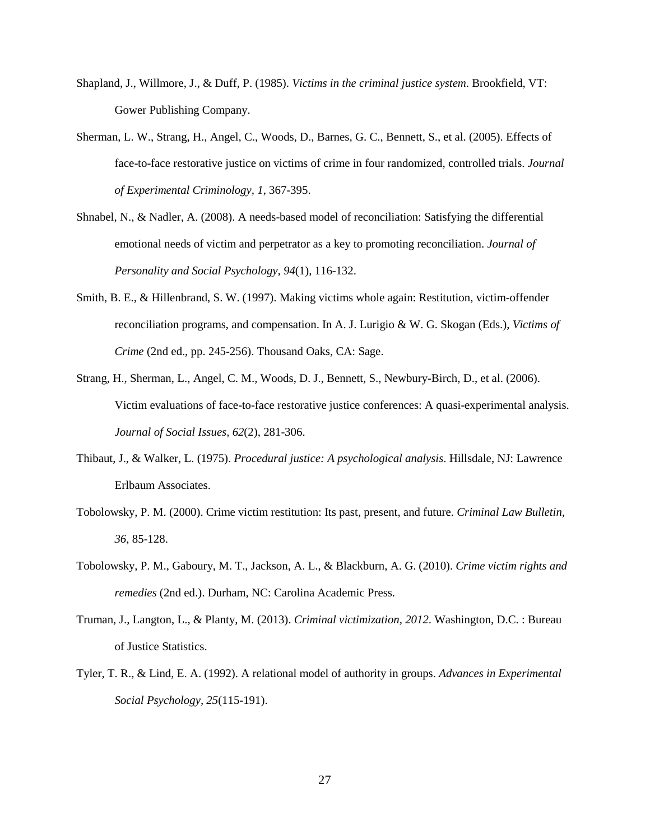- <span id="page-27-2"></span>Shapland, J., Willmore, J., & Duff, P. (1985). *Victims in the criminal justice system*. Brookfield, VT: Gower Publishing Company.
- <span id="page-27-8"></span>Sherman, L. W., Strang, H., Angel, C., Woods, D., Barnes, G. C., Bennett, S., et al. (2005). Effects of face-to-face restorative justice on victims of crime in four randomized, controlled trials. *Journal of Experimental Criminology, 1*, 367-395.
- <span id="page-27-5"></span>Shnabel, N., & Nadler, A. (2008). A needs-based model of reconciliation: Satisfying the differential emotional needs of victim and perpetrator as a key to promoting reconciliation. *Journal of Personality and Social Psychology, 94*(1), 116-132.
- <span id="page-27-3"></span>Smith, B. E., & Hillenbrand, S. W. (1997). Making victims whole again: Restitution, victim-offender reconciliation programs, and compensation. In A. J. Lurigio & W. G. Skogan (Eds.), *Victims of Crime* (2nd ed., pp. 245-256). Thousand Oaks, CA: Sage.
- <span id="page-27-9"></span>Strang, H., Sherman, L., Angel, C. M., Woods, D. J., Bennett, S., Newbury-Birch, D., et al. (2006). Victim evaluations of face-to-face restorative justice conferences: A quasi-experimental analysis. *Journal of Social Issues, 62*(2), 281-306.
- <span id="page-27-6"></span>Thibaut, J., & Walker, L. (1975). *Procedural justice: A psychological analysis*. Hillsdale, NJ: Lawrence Erlbaum Associates.
- <span id="page-27-4"></span>Tobolowsky, P. M. (2000). Crime victim restitution: Its past, present, and future. *Criminal Law Bulletin, 36*, 85-128.
- <span id="page-27-1"></span>Tobolowsky, P. M., Gaboury, M. T., Jackson, A. L., & Blackburn, A. G. (2010). *Crime victim rights and remedies* (2nd ed.). Durham, NC: Carolina Academic Press.
- <span id="page-27-0"></span>Truman, J., Langton, L., & Planty, M. (2013). *Criminal victimization, 2012*. Washington, D.C. : Bureau of Justice Statistics.
- <span id="page-27-7"></span>Tyler, T. R., & Lind, E. A. (1992). A relational model of authority in groups. *Advances in Experimental Social Psychology, 25*(115-191).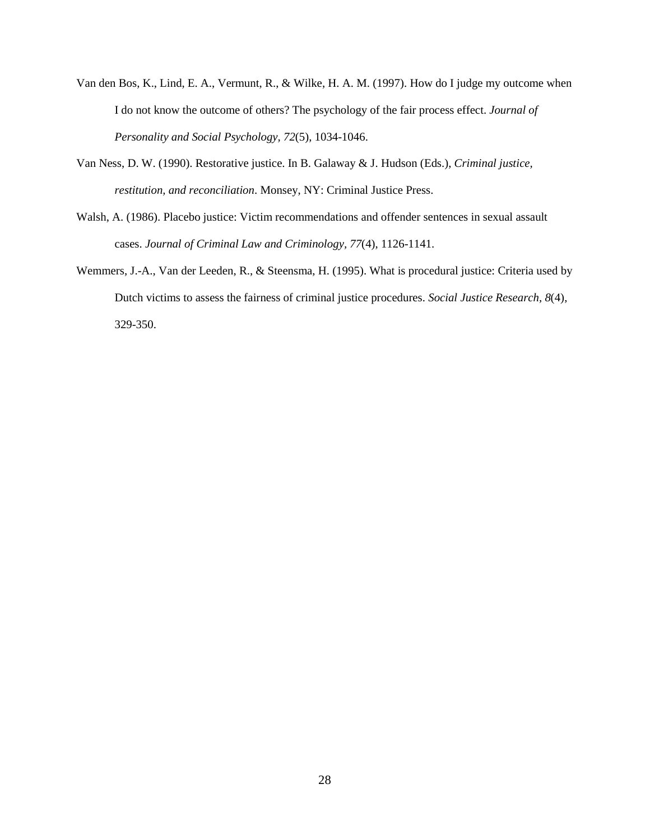- <span id="page-28-2"></span>Van den Bos, K., Lind, E. A., Vermunt, R., & Wilke, H. A. M. (1997). How do I judge my outcome when I do not know the outcome of others? The psychology of the fair process effect. *Journal of Personality and Social Psychology, 72*(5), 1034-1046.
- <span id="page-28-3"></span>Van Ness, D. W. (1990). Restorative justice. In B. Galaway & J. Hudson (Eds.), *Criminal justice, restitution, and reconciliation*. Monsey, NY: Criminal Justice Press.
- <span id="page-28-0"></span>Walsh, A. (1986). Placebo justice: Victim recommendations and offender sentences in sexual assault cases. *Journal of Criminal Law and Criminology, 77*(4), 1126-1141.
- <span id="page-28-1"></span>Wemmers, J.-A., Van der Leeden, R., & Steensma, H. (1995). What is procedural justice: Criteria used by Dutch victims to assess the fairness of criminal justice procedures. *Social Justice Research, 8*(4), 329-350.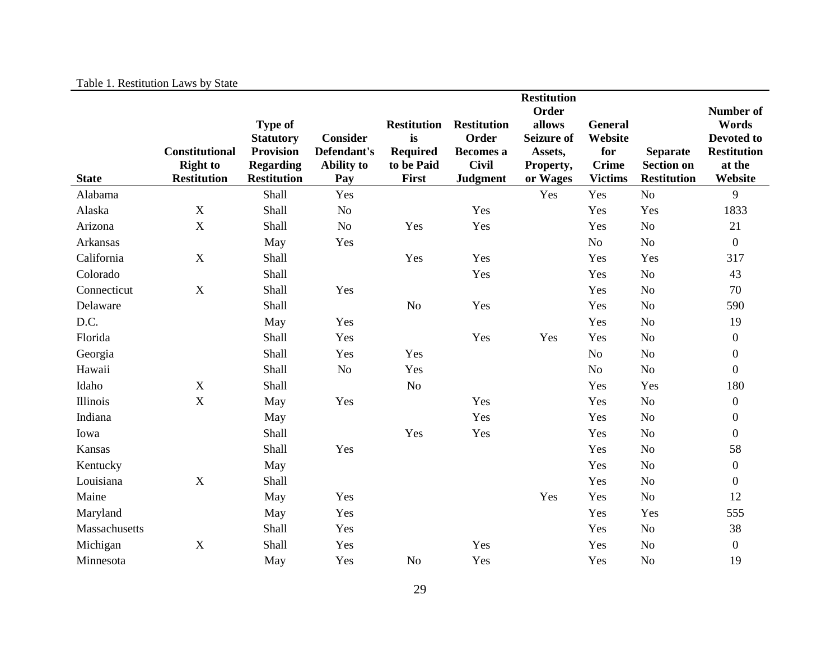| <b>State</b>  | raoic 1. Restitution Laws by Blate<br><b>Constitutional</b><br><b>Right to</b><br><b>Restitution</b> | <b>Type of</b><br><b>Statutory</b><br><b>Provision</b><br><b>Regarding</b><br><b>Restitution</b> | <b>Consider</b><br>Defendant's<br><b>Ability to</b><br>Pay | <b>Restitution</b><br>is<br><b>Required</b><br>to be Paid<br>First | <b>Restitution</b><br>Order<br>Becomes a<br><b>Civil</b><br><b>Judgment</b> | <b>Restitution</b><br>Order<br>allows<br><b>Seizure of</b><br>Assets,<br>Property,<br>or Wages | <b>General</b><br>Website<br>for<br><b>Crime</b><br><b>Victims</b> | <b>Separate</b><br><b>Section on</b><br><b>Restitution</b> | Number of<br>Words<br><b>Devoted to</b><br><b>Restitution</b><br>at the<br>Website |
|---------------|------------------------------------------------------------------------------------------------------|--------------------------------------------------------------------------------------------------|------------------------------------------------------------|--------------------------------------------------------------------|-----------------------------------------------------------------------------|------------------------------------------------------------------------------------------------|--------------------------------------------------------------------|------------------------------------------------------------|------------------------------------------------------------------------------------|
| Alabama       |                                                                                                      | Shall                                                                                            | Yes                                                        |                                                                    |                                                                             | Yes                                                                                            | Yes                                                                | No                                                         | 9                                                                                  |
| Alaska        | $\mathbf X$                                                                                          | Shall                                                                                            | No                                                         |                                                                    | Yes                                                                         |                                                                                                | Yes                                                                | Yes                                                        | 1833                                                                               |
| Arizona       | $\mathbf X$                                                                                          | Shall                                                                                            | N <sub>o</sub>                                             | Yes                                                                | Yes                                                                         |                                                                                                | Yes                                                                | N <sub>o</sub>                                             | 21                                                                                 |
| Arkansas      |                                                                                                      | May                                                                                              | Yes                                                        |                                                                    |                                                                             |                                                                                                | N <sub>o</sub>                                                     | No                                                         | $\boldsymbol{0}$                                                                   |
| California    | X                                                                                                    | Shall                                                                                            |                                                            | Yes                                                                | Yes                                                                         |                                                                                                | Yes                                                                | Yes                                                        | 317                                                                                |
| Colorado      |                                                                                                      | Shall                                                                                            |                                                            |                                                                    | Yes                                                                         |                                                                                                | Yes                                                                | No                                                         | 43                                                                                 |
| Connecticut   | X                                                                                                    | Shall                                                                                            | Yes                                                        |                                                                    |                                                                             |                                                                                                | Yes                                                                | N <sub>o</sub>                                             | 70                                                                                 |
| Delaware      |                                                                                                      | Shall                                                                                            |                                                            | N <sub>o</sub>                                                     | Yes                                                                         |                                                                                                | Yes                                                                | No                                                         | 590                                                                                |
| D.C.          |                                                                                                      | May                                                                                              | Yes                                                        |                                                                    |                                                                             |                                                                                                | Yes                                                                | N <sub>o</sub>                                             | 19                                                                                 |
| Florida       |                                                                                                      | Shall                                                                                            | Yes                                                        |                                                                    | Yes                                                                         | Yes                                                                                            | Yes                                                                | N <sub>o</sub>                                             | $\boldsymbol{0}$                                                                   |
| Georgia       |                                                                                                      | Shall                                                                                            | Yes                                                        | Yes                                                                |                                                                             |                                                                                                | No                                                                 | No                                                         | $\boldsymbol{0}$                                                                   |
| Hawaii        |                                                                                                      | Shall                                                                                            | N <sub>o</sub>                                             | Yes                                                                |                                                                             |                                                                                                | No                                                                 | No                                                         | $\boldsymbol{0}$                                                                   |
| Idaho         | $\boldsymbol{X}$                                                                                     | Shall                                                                                            |                                                            | No                                                                 |                                                                             |                                                                                                | Yes                                                                | Yes                                                        | 180                                                                                |
| Illinois      | $\mathbf X$                                                                                          | May                                                                                              | Yes                                                        |                                                                    | Yes                                                                         |                                                                                                | Yes                                                                | N <sub>o</sub>                                             | $\boldsymbol{0}$                                                                   |
| Indiana       |                                                                                                      | May                                                                                              |                                                            |                                                                    | Yes                                                                         |                                                                                                | Yes                                                                | No                                                         | $\boldsymbol{0}$                                                                   |
| Iowa          |                                                                                                      | Shall                                                                                            |                                                            | Yes                                                                | Yes                                                                         |                                                                                                | Yes                                                                | N <sub>o</sub>                                             | $\boldsymbol{0}$                                                                   |
| Kansas        |                                                                                                      | Shall                                                                                            | Yes                                                        |                                                                    |                                                                             |                                                                                                | Yes                                                                | N <sub>o</sub>                                             | 58                                                                                 |
| Kentucky      |                                                                                                      | May                                                                                              |                                                            |                                                                    |                                                                             |                                                                                                | Yes                                                                | N <sub>o</sub>                                             | $\boldsymbol{0}$                                                                   |
| Louisiana     | $\boldsymbol{X}$                                                                                     | Shall                                                                                            |                                                            |                                                                    |                                                                             |                                                                                                | Yes                                                                | No                                                         | $\boldsymbol{0}$                                                                   |
| Maine         |                                                                                                      | May                                                                                              | Yes                                                        |                                                                    |                                                                             | Yes                                                                                            | Yes                                                                | N <sub>o</sub>                                             | 12                                                                                 |
| Maryland      |                                                                                                      | May                                                                                              | Yes                                                        |                                                                    |                                                                             |                                                                                                | Yes                                                                | Yes                                                        | 555                                                                                |
| Massachusetts |                                                                                                      | Shall                                                                                            | Yes                                                        |                                                                    |                                                                             |                                                                                                | Yes                                                                | N <sub>o</sub>                                             | 38                                                                                 |
| Michigan      | X                                                                                                    | Shall                                                                                            | Yes                                                        |                                                                    | Yes                                                                         |                                                                                                | Yes                                                                | No                                                         | $\boldsymbol{0}$                                                                   |
| Minnesota     |                                                                                                      | May                                                                                              | Yes                                                        | N <sub>o</sub>                                                     | Yes                                                                         |                                                                                                | Yes                                                                | N <sub>o</sub>                                             | 19                                                                                 |